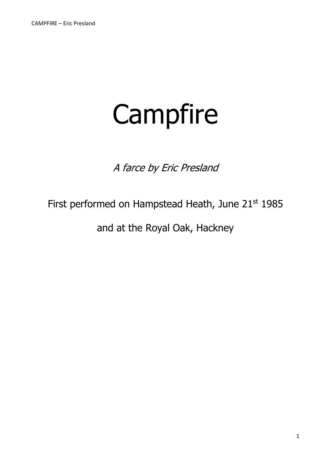# Campfire

A farce by Eric Presland

# First performed on Hampstead Heath, June 21<sup>st</sup> 1985

and at the Royal Oak, Hackney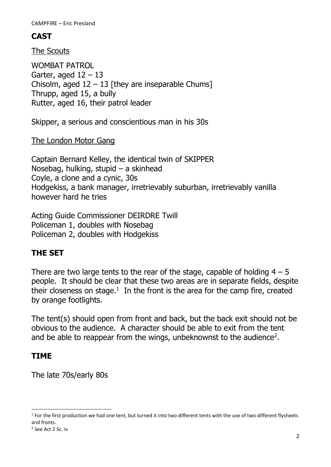# **CAST**

The Scouts

WOMBAT PATROL Garter, aged  $12 - 13$ Chisolm, aged  $12 - 13$  [they are inseparable Chums] Thrupp, aged 15, a bully Rutter, aged 16, their patrol leader

Skipper, a serious and conscientious man in his 30s

The London Motor Gang

Captain Bernard Kelley, the identical twin of SKIPPER Nosebag, hulking, stupid – a skinhead Coyle, a clone and a cynic, 30s Hodgekiss, a bank manager, irretrievably suburban, irretrievably vanilla however hard he tries

Acting Guide Commissioner DEIRDRE Twill Policeman 1, doubles with Nosebag Policeman 2, doubles with Hodgekiss

# **THE SET**

There are two large tents to the rear of the stage, capable of holding  $4 - 5$ people. It should be clear that these two areas are in separate fields, despite their closeness on stage. $<sup>1</sup>$  In the front is the area for the camp fire, created</sup> by orange footlights.

The tent(s) should open from front and back, but the back exit should not be obvious to the audience. A character should be able to exit from the tent and be able to reappear from the wings, unbeknownst to the audience<sup>2</sup>.

### **TIME**

The late 70s/early 80s

 $1$  For the first production we had one tent, but turned it into two different tents with the use of two different flysheets and fronts.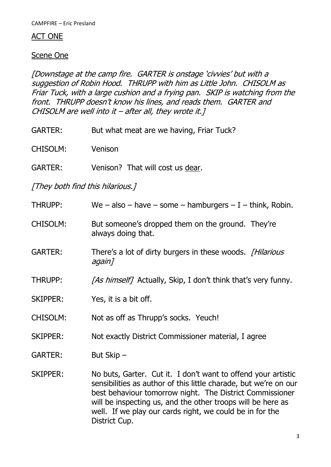#### ACT ONE

#### Scene One

[Downstage at the camp fire. GARTER is onstage 'civvies' but with a suggestion of Robin Hood. THRUPP with him as Little John. CHISOLM as Friar Tuck, with a large cushion and a frying pan. SKIP is watching from the front. THRUPP doesn't know his lines, and reads them. GARTER and CHISOLM are well into it – after all, they wrote it.]

- GARTER: But what meat are we having, Friar Tuck?
- CHISOLM: Venison
- GARTER: Venison? That will cost us dear.

[They both find this hilarious.]

| <b>THRUPP:</b>  | We – also – have – some – hamburgers – I – think, Robin.                                                                                                                                                                                                                                                                                  |  |  |  |
|-----------------|-------------------------------------------------------------------------------------------------------------------------------------------------------------------------------------------------------------------------------------------------------------------------------------------------------------------------------------------|--|--|--|
| <b>CHISOLM:</b> | But someone's dropped them on the ground. They're<br>always doing that.                                                                                                                                                                                                                                                                   |  |  |  |
| <b>GARTER:</b>  | There's a lot of dirty burgers in these woods. [Hilarious]<br>again]                                                                                                                                                                                                                                                                      |  |  |  |
| <b>THRUPP:</b>  | [As himself] Actually, Skip, I don't think that's very funny.                                                                                                                                                                                                                                                                             |  |  |  |
| <b>SKIPPER:</b> | Yes, it is a bit off.                                                                                                                                                                                                                                                                                                                     |  |  |  |
| <b>CHISOLM:</b> | Not as off as Thrupp's socks. Yeuch!                                                                                                                                                                                                                                                                                                      |  |  |  |
| <b>SKIPPER:</b> | Not exactly District Commissioner material, I agree                                                                                                                                                                                                                                                                                       |  |  |  |
| <b>GARTER:</b>  | But Skip -                                                                                                                                                                                                                                                                                                                                |  |  |  |
| <b>SKIPPER:</b> | No buts, Garter. Cut it. I don't want to offend your artistic<br>sensibilities as author of this little charade, but we're on our<br>best behaviour tomorrow night. The District Commissioner<br>will be inspecting us, and the other troops will be here as<br>well. If we play our cards right, we could be in for the<br>District Cup. |  |  |  |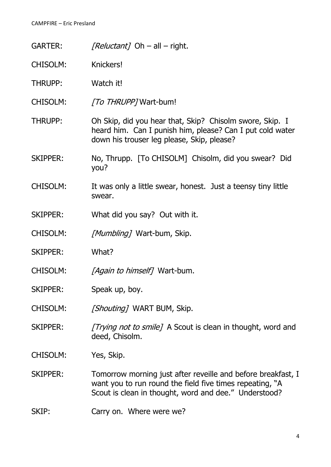GARTER: [Reluctant] Oh – all – right.

- CHISOLM: Knickers!
- THRUPP: Watch it!
- CHISOLM: [To THRUPP] Wart-bum!
- THRUPP: Oh Skip, did you hear that, Skip? Chisolm swore, Skip. I heard him. Can I punish him, please? Can I put cold water down his trouser leg please, Skip, please?
- SKIPPER: No, Thrupp. [To CHISOLM] Chisolm, did you swear? Did you?
- CHISOLM: It was only a little swear, honest. Just a teensy tiny little swear.
- SKIPPER: What did you say? Out with it.
- CHISOLM: [Mumbling] Wart-bum, Skip.
- SKIPPER: What?
- CHISOLM: [Again to himself] Wart-bum.
- SKIPPER: Speak up, boy.
- CHISOLM: [Shouting] WART BUM, Skip.
- SKIPPER: [Trying not to smile] A Scout is clean in thought, word and deed, Chisolm.
- CHISOLM: Yes, Skip.
- SKIPPER: Tomorrow morning just after reveille and before breakfast, I want you to run round the field five times repeating, "A Scout is clean in thought, word and dee." Understood?
- SKIP: Carry on. Where were we?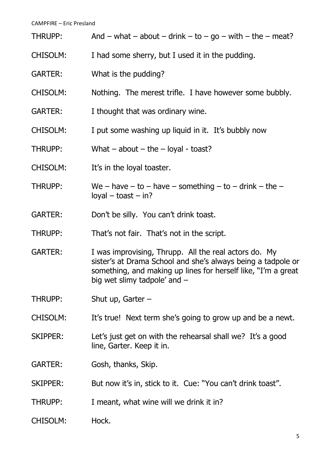| THRUPP:         | And – what – about – drink – to – go – with – the – meat?                                                                                                                                                                |  |  |  |
|-----------------|--------------------------------------------------------------------------------------------------------------------------------------------------------------------------------------------------------------------------|--|--|--|
| <b>CHISOLM:</b> | I had some sherry, but I used it in the pudding.                                                                                                                                                                         |  |  |  |
| <b>GARTER:</b>  | What is the pudding?                                                                                                                                                                                                     |  |  |  |
| <b>CHISOLM:</b> | Nothing. The merest trifle. I have however some bubbly.                                                                                                                                                                  |  |  |  |
| <b>GARTER:</b>  | I thought that was ordinary wine.                                                                                                                                                                                        |  |  |  |
| <b>CHISOLM:</b> | I put some washing up liquid in it. It's bubbly now                                                                                                                                                                      |  |  |  |
| THRUPP:         | What $-$ about $-$ the $-$ loyal - toast?                                                                                                                                                                                |  |  |  |
| <b>CHISOLM:</b> | It's in the loyal toaster.                                                                                                                                                                                               |  |  |  |
| THRUPP:         | We – have – to – have – something – to – drink – the –<br>$logal - toast - in?$                                                                                                                                          |  |  |  |
| <b>GARTER:</b>  | Don't be silly. You can't drink toast.                                                                                                                                                                                   |  |  |  |
| THRUPP:         | That's not fair. That's not in the script.                                                                                                                                                                               |  |  |  |
| <b>GARTER:</b>  | I was improvising, Thrupp. All the real actors do. My<br>sister's at Drama School and she's always being a tadpole or<br>something, and making up lines for herself like, "I'm a great<br>big wet slimy tadpole' and $-$ |  |  |  |
| THRUPP:         | Shut up, Garter $-$                                                                                                                                                                                                      |  |  |  |
| CHISOLM:        | It's true! Next term she's going to grow up and be a newt.                                                                                                                                                               |  |  |  |
| <b>SKIPPER:</b> | Let's just get on with the rehearsal shall we? It's a good<br>line, Garter. Keep it in.                                                                                                                                  |  |  |  |
| <b>GARTER:</b>  | Gosh, thanks, Skip.                                                                                                                                                                                                      |  |  |  |
| <b>SKIPPER:</b> | But now it's in, stick to it. Cue: "You can't drink toast".                                                                                                                                                              |  |  |  |
| THRUPP:         | I meant, what wine will we drink it in?                                                                                                                                                                                  |  |  |  |
| CHISOLM:        | Hock.                                                                                                                                                                                                                    |  |  |  |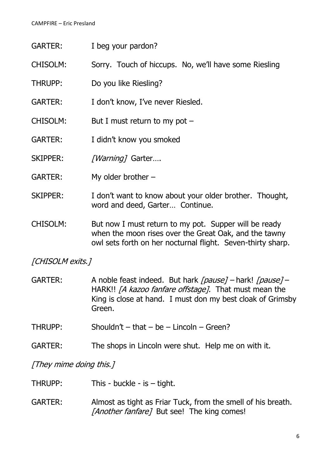- GARTER: I beg your pardon?
- CHISOLM: Sorry. Touch of hiccups. No, we'll have some Riesling
- THRUPP: Do you like Riesling?
- GARTER: I don't know, I've never Riesled.
- CHISOLM: But I must return to my pot –
- GARTER: I didn't know you smoked
- SKIPPER: [Warning] Garter....
- GARTER: My older brother –
- SKIPPER: I don't want to know about your older brother. Thought, word and deed, Garter… Continue.
- CHISOLM: But now I must return to my pot. Supper will be ready when the moon rises over the Great Oak, and the tawny owl sets forth on her nocturnal flight. Seven-thirty sharp.

[CHISOLM exits.]

- GARTER: A noble feast indeed. But hark [pause] hark! [pause] HARK!! *[A kazoo fanfare offstage]*. That must mean the King is close at hand. I must don my best cloak of Grimsby Green.
- THRUPP: Shouldn't that be Lincoln Green?
- GARTER: The shops in Lincoln were shut. Help me on with it.

[They mime doing this.]

- THRUPP: This buckle is tight.
- GARTER: Almost as tight as Friar Tuck, from the smell of his breath. [Another fanfare] But see! The king comes!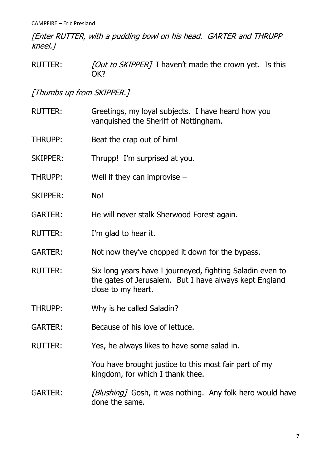[Enter RUTTER, with a pudding bowl on his head. GARTER and THRUPP kneel.]

RUTTER: [Out to SKIPPER] I haven't made the crown yet. Is this OK?

[Thumbs up from SKIPPER.]

RUTTER: Greetings, my loyal subjects. I have heard how you vanquished the Sheriff of Nottingham. THRUPP: Beat the crap out of him! SKIPPER: Thrupp! I'm surprised at you. THRUPP: Well if they can improvise  $-$ SKIPPER: No! GARTER: He will never stalk Sherwood Forest again. RUTTER: I'm glad to hear it. GARTER: Not now they've chopped it down for the bypass. RUTTER: Six long years have I journeyed, fighting Saladin even to the gates of Jerusalem. But I have always kept England close to my heart. THRUPP: Why is he called Saladin? GARTER: Because of his love of lettuce. RUTTER: Yes, he always likes to have some salad in. You have brought justice to this most fair part of my kingdom, for which I thank thee. GARTER: [Blushing] Gosh, it was nothing. Any folk hero would have done the same.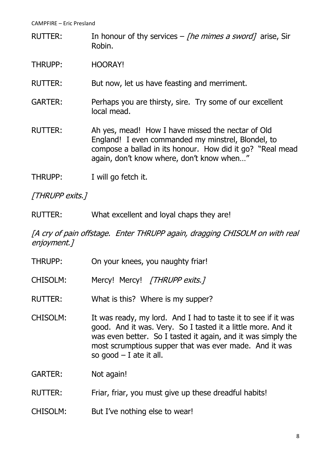- RUTTER: In honour of thy services *The mimes a sword* 7 arise, Sir Robin.
- THRUPP: HOORAY!
- RUTTER: But now, let us have feasting and merriment.
- GARTER: Perhaps you are thirsty, sire. Try some of our excellent local mead.
- RUTTER: Ah yes, mead! How I have missed the nectar of Old England! I even commanded my minstrel, Blondel, to compose a ballad in its honour. How did it go? "Real mead again, don't know where, don't know when…"
- THRUPP: I will go fetch it.

[THRUPP exits.]

RUTTER: What excellent and loyal chaps they are!

#### [A cry of pain offstage. Enter THRUPP again, dragging CHISOLM on with real enjoyment.]

THRUPP: On your knees, you naughty friar! CHISOLM: Mercy! Mercy! [THRUPP exits.] RUTTER: What is this? Where is my supper? CHISOLM: It was ready, my lord. And I had to taste it to see if it was good. And it was. Very. So I tasted it a little more. And it was even better. So I tasted it again, and it was simply the most scrumptious supper that was ever made. And it was so good  $-$  I ate it all. GARTER: Not again! RUTTER: Friar, friar, you must give up these dreadful habits! CHISOLM: But I've nothing else to wear!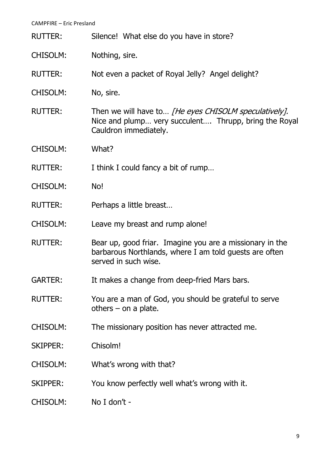| <b>RUTTER:</b>  | Silence! What else do you have in store?                                                                                                   |  |  |  |  |
|-----------------|--------------------------------------------------------------------------------------------------------------------------------------------|--|--|--|--|
| <b>CHISOLM:</b> | Nothing, sire.                                                                                                                             |  |  |  |  |
| <b>RUTTER:</b>  | Not even a packet of Royal Jelly? Angel delight?                                                                                           |  |  |  |  |
| <b>CHISOLM:</b> | No, sire.                                                                                                                                  |  |  |  |  |
| <b>RUTTER:</b>  | Then we will have to [He eyes CHISOLM speculatively].<br>Nice and plump very succulent Thrupp, bring the Royal<br>Cauldron immediately.    |  |  |  |  |
| <b>CHISOLM:</b> | What?                                                                                                                                      |  |  |  |  |
| <b>RUTTER:</b>  | I think I could fancy a bit of rump                                                                                                        |  |  |  |  |
| <b>CHISOLM:</b> | No!                                                                                                                                        |  |  |  |  |
| <b>RUTTER:</b>  | Perhaps a little breast                                                                                                                    |  |  |  |  |
| <b>CHISOLM:</b> | Leave my breast and rump alone!                                                                                                            |  |  |  |  |
| <b>RUTTER:</b>  | Bear up, good friar. Imagine you are a missionary in the<br>barbarous Northlands, where I am told guests are often<br>served in such wise. |  |  |  |  |
| <b>GARTER:</b>  | It makes a change from deep-fried Mars bars.                                                                                               |  |  |  |  |
| <b>RUTTER:</b>  | You are a man of God, you should be grateful to serve<br>others $-$ on a plate.                                                            |  |  |  |  |
| CHISOLM:        | The missionary position has never attracted me.                                                                                            |  |  |  |  |
| <b>SKIPPER:</b> | Chisolm!                                                                                                                                   |  |  |  |  |
| CHISOLM:        | What's wrong with that?                                                                                                                    |  |  |  |  |
| <b>SKIPPER:</b> | You know perfectly well what's wrong with it.                                                                                              |  |  |  |  |
| CHISOLM:        | No I don't -                                                                                                                               |  |  |  |  |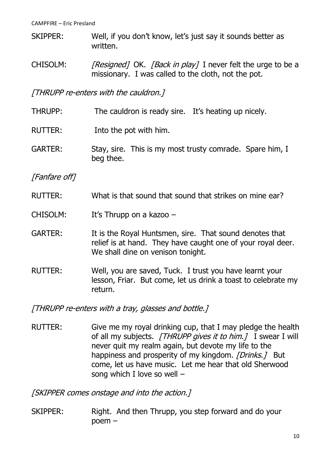- SKIPPER: Well, if you don't know, let's just say it sounds better as written.
- CHISOLM: [Resigned] OK. [Back in play] I never felt the urge to be a missionary. I was called to the cloth, not the pot.

[THRUPP re-enters with the cauldron.]

- THRUPP: The cauldron is ready sire. It's heating up nicely.
- RUTTER: Into the pot with him.
- GARTER: Stay, sire. This is my most trusty comrade. Spare him, I beg thee.

[Fanfare off]

- RUTTER: What is that sound that sound that strikes on mine ear?
- CHISOLM: It's Thrupp on a kazoo –
- GARTER: It is the Royal Huntsmen, sire. That sound denotes that relief is at hand. They have caught one of your royal deer. We shall dine on venison tonight.
- RUTTER: Well, you are saved, Tuck. I trust you have learnt your lesson, Friar. But come, let us drink a toast to celebrate my return.

[THRUPP re-enters with a tray, glasses and bottle.]

RUTTER: Give me my royal drinking cup, that I may pledge the health of all my subjects. [THRUPP gives it to him.] I swear I will never quit my realm again, but devote my life to the happiness and prosperity of my kingdom. *[Drinks.]* But come, let us have music. Let me hear that old Sherwood song which I love so well –

[SKIPPER comes onstage and into the action.]

SKIPPER: Right. And then Thrupp, you step forward and do your poem –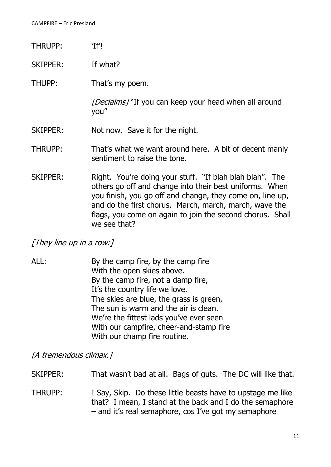- THRUPP: 'If'!
- SKIPPER: If what?
- THUPP: That's my poem.

[Declaims] "If you can keep your head when all around you"

- SKIPPER: Not now. Save it for the night.
- THRUPP: That's what we want around here. A bit of decent manly sentiment to raise the tone.
- SKIPPER: Right. You're doing your stuff. "If blah blah blah". The others go off and change into their best uniforms. When you finish, you go off and change, they come on, line up, and do the first chorus. March, march, march, wave the flags, you come on again to join the second chorus. Shall we see that?

[They line up in a row:]

ALL: By the camp fire, by the camp fire With the open skies above. By the camp fire, not a damp fire, It's the country life we love. The skies are blue, the grass is green, The sun is warm and the air is clean. We're the fittest lads you've ever seen With our campfire, cheer-and-stamp fire With our champ fire routine.

[A tremendous climax.]

SKIPPER: That wasn't bad at all. Bags of guts. The DC will like that.

THRUPP: I Say, Skip. Do these little beasts have to upstage me like that? I mean, I stand at the back and I do the semaphore – and it's real semaphore, cos I've got my semaphore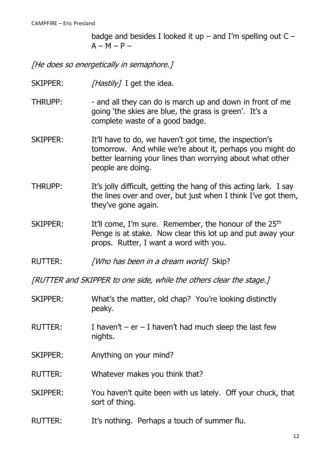badge and besides I looked it up – and I'm spelling out  $C A - M - P -$ 

[He does so energetically in semaphore.]

- SKIPPER:  $[Hastily]$  I get the idea.
- THRUPP: and all they can do is march up and down in front of me going 'the skies are blue, the grass is green'. It's a complete waste of a good badge.
- SKIPPER: It'll have to do, we haven't got time, the inspection's tomorrow. And while we're about it, perhaps you might do better learning your lines than worrying about what other people are doing.
- THRUPP: It's jolly difficult, getting the hang of this acting lark. I say the lines over and over, but just when I think I've got them, they've gone again.
- SKIPPER: It'll come, I'm sure. Remember, the honour of the 25<sup>th</sup> Penge is at stake. Now clear this lot up and put away your props. Rutter, I want a word with you.
- RUTTER: [Who has been in a dream world] Skip?

[RUTTER and SKIPPER to one side, while the others clear the stage.]

- SKIPPER: What's the matter, old chap? You're looking distinctly peaky.
- RUTTER: I haven't er I haven't had much sleep the last few nights.
- SKIPPER: Anything on your mind?
- RUTTER: Whatever makes you think that?
- SKIPPER: You haven't quite been with us lately. Off your chuck, that sort of thing.
- RUTTER: It's nothing. Perhaps a touch of summer flu.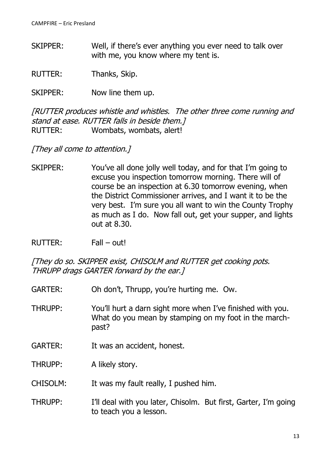SKIPPER: Well, if there's ever anything you ever need to talk over with me, you know where my tent is.

RUTTER: Thanks, Skip.

SKIPPER: Now line them up.

[RUTTER produces whistle and whistles. The other three come running and stand at ease. RUTTER falls in beside them.] RUTTER: Wombats, wombats, alert!

[They all come to attention.]

- SKIPPER: You've all done jolly well today, and for that I'm going to excuse you inspection tomorrow morning. There will of course be an inspection at 6.30 tomorrow evening, when the District Commissioner arrives, and I want it to be the very best. I'm sure you all want to win the County Trophy as much as I do. Now fall out, get your supper, and lights out at 8.30.
- RUTTER: Fall out!

[They do so. SKIPPER exist, CHISOLM and RUTTER get cooking pots. THRUPP drags GARTER forward by the ear.]

- GARTER: Oh don't, Thrupp, you're hurting me. Ow.
- THRUPP: You'll hurt a darn sight more when I've finished with you. What do you mean by stamping on my foot in the marchpast?
- GARTER: It was an accident, honest.
- THRUPP: A likely story.

CHISOLM: It was my fault really, I pushed him.

THRUPP: I'll deal with you later, Chisolm. But first, Garter, I'm going to teach you a lesson.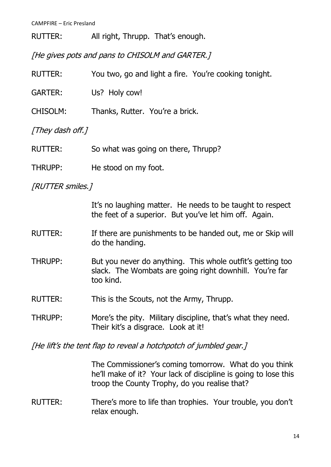RUTTER: All right, Thrupp. That's enough.

[He gives pots and pans to CHISOLM and GARTER.]

| <b>RUTTER:</b>   | You two, go and light a fire. You're cooking tonight.                                                                              |  |  |  |
|------------------|------------------------------------------------------------------------------------------------------------------------------------|--|--|--|
| <b>GARTER:</b>   | Us? Holy cow!                                                                                                                      |  |  |  |
| <b>CHISOLM:</b>  | Thanks, Rutter. You're a brick.                                                                                                    |  |  |  |
| [They dash off.] |                                                                                                                                    |  |  |  |
| <b>RUTTER:</b>   | So what was going on there, Thrupp?                                                                                                |  |  |  |
| <b>THRUPP:</b>   | He stood on my foot.                                                                                                               |  |  |  |
| [RUTTER smiles.] |                                                                                                                                    |  |  |  |
|                  | It's no laughing matter. He needs to be taught to respect<br>the feet of a superior. But you've let him off. Again.                |  |  |  |
| <b>RUTTER:</b>   | If there are punishments to be handed out, me or Skip will<br>do the handing.                                                      |  |  |  |
| THRUPP:          | But you never do anything. This whole outfit's getting too<br>slack. The Wombats are going right downhill. You're far<br>too kind. |  |  |  |
| <b>RUTTER:</b>   | This is the Scouts, not the Army, Thrupp.                                                                                          |  |  |  |
| <b>THRUPP:</b>   | More's the pity. Military discipline, that's what they need.<br>Their kit's a disgrace. Look at it!                                |  |  |  |

[He lift's the tent flap to reveal a hotchpotch of jumbled gear.]

The Commissioner's coming tomorrow. What do you think he'll make of it? Your lack of discipline is going to lose this troop the County Trophy, do you realise that?

#### RUTTER: There's more to life than trophies. Your trouble, you don't relax enough.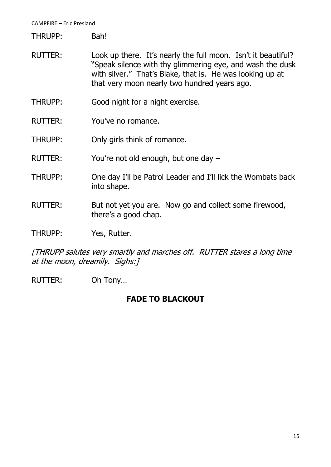THRUPP: Bah!

- RUTTER: Look up there. It's nearly the full moon. Isn't it beautiful? "Speak silence with thy glimmering eye, and wash the dusk with silver." That's Blake, that is. He was looking up at that very moon nearly two hundred years ago.
- THRUPP: Good night for a night exercise.
- RUTTER: You've no romance.
- THRUPP: Only girls think of romance.
- RUTTER: You're not old enough, but one day –
- THRUPP: One day I'll be Patrol Leader and I'll lick the Wombats back into shape.
- RUTTER: But not yet you are. Now go and collect some firewood, there's a good chap.
- THRUPP: Yes, Rutter.

[THRUPP salutes very smartly and marches off. RUTTER stares a long time at the moon, dreamily. Sighs:]

RUTTER: Oh Tony…

#### **FADE TO BLACKOUT**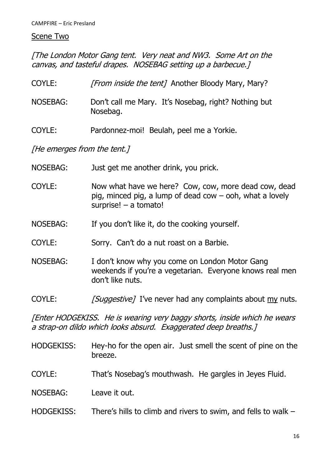#### Scene Two

[The London Motor Gang tent. Very neat and NW3. Some Art on the canvas, and tasteful drapes. NOSEBAG setting up a barbecue.]

| COYLE:   | <i>[From inside the tent]</i> Another Bloody Mary, Mary?         |
|----------|------------------------------------------------------------------|
| NOSEBAG: | Don't call me Mary. It's Nosebag, right? Nothing but<br>Nosebag. |

COYLE: Pardonnez-moi! Beulah, peel me a Yorkie.

[He emerges from the tent.]

| <b>NOSEBAG:</b> | Just get me another drink, you prick.                                                                                                                        |
|-----------------|--------------------------------------------------------------------------------------------------------------------------------------------------------------|
| COYLE:          | Now what have we here? Cow, cow, more dead cow, dead<br>pig, minced pig, a lump of dead $\text{row} - \text{coh}$ , what a lovely<br>surprise! $-$ a tomato! |
| <b>NOSEBAG:</b> | If you don't like it, do the cooking yourself.                                                                                                               |
| COYLE:          | Sorry. Can't do a nut roast on a Barbie.                                                                                                                     |
| <b>NOSEBAG:</b> | I don't know why you come on London Motor Gang<br>weekends if you're a vegetarian. Everyone knows real men<br>don't like nuts.                               |
| COYLE:          | [Suggestive] I've never had any complaints about my nuts.                                                                                                    |
|                 |                                                                                                                                                              |

[Enter HODGEKISS. He is wearing very baggy shorts, inside which he wears a strap-on dildo which looks absurd. Exaggerated deep breaths.]

- HODGEKISS: Hey-ho for the open air. Just smell the scent of pine on the breeze.
- COYLE: That's Nosebag's mouthwash. He gargles in Jeyes Fluid.
- NOSEBAG: Leave it out.
- HODGEKISS: There's hills to climb and rivers to swim, and fells to walk -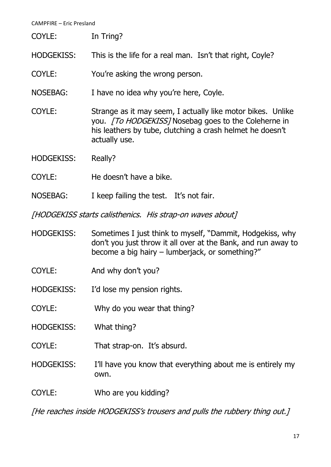| <b>CAMPFIRE - Eric Presland</b>                           |                                                                                                                                                                                                          |  |  |  |
|-----------------------------------------------------------|----------------------------------------------------------------------------------------------------------------------------------------------------------------------------------------------------------|--|--|--|
| COYLE:                                                    | In Tring?                                                                                                                                                                                                |  |  |  |
| <b>HODGEKISS:</b>                                         | This is the life for a real man. Isn't that right, Coyle?                                                                                                                                                |  |  |  |
| COYLE:                                                    | You're asking the wrong person.                                                                                                                                                                          |  |  |  |
| <b>NOSEBAG:</b>                                           | I have no idea why you're here, Coyle.                                                                                                                                                                   |  |  |  |
| COYLE:                                                    | Strange as it may seem, I actually like motor bikes. Unlike<br>you. <i>[To HODGEKISS]</i> Nosebag goes to the Coleherne in<br>his leathers by tube, clutching a crash helmet he doesn't<br>actually use. |  |  |  |
| <b>HODGEKISS:</b>                                         | Really?                                                                                                                                                                                                  |  |  |  |
| COYLE:                                                    | He doesn't have a bike.                                                                                                                                                                                  |  |  |  |
| <b>NOSEBAG:</b>                                           | I keep failing the test. It's not fair.                                                                                                                                                                  |  |  |  |
| [HODGEKISS starts calisthenics. His strap-on waves about] |                                                                                                                                                                                                          |  |  |  |
| <b>HODGEKISS:</b>                                         | Sometimes I just think to myself, "Dammit, Hodgekiss, why<br>don't you just throw it all over at the Bank, and run away to<br>become a big hairy – lumberjack, or something?"                            |  |  |  |
| COYLE:                                                    | And why don't you?                                                                                                                                                                                       |  |  |  |
| <b>HODGEKISS:</b>                                         | I'd lose my pension rights.                                                                                                                                                                              |  |  |  |
| COYLE:                                                    | Why do you wear that thing?                                                                                                                                                                              |  |  |  |
| <b>HODGEKISS:</b>                                         | What thing?                                                                                                                                                                                              |  |  |  |
| COYLE:                                                    | That strap-on. It's absurd.                                                                                                                                                                              |  |  |  |
| <b>HODGEKISS:</b>                                         | I'll have you know that everything about me is entirely my<br>own.                                                                                                                                       |  |  |  |

COYLE: Who are you kidding?

[He reaches inside HODGEKISS's trousers and pulls the rubbery thing out.]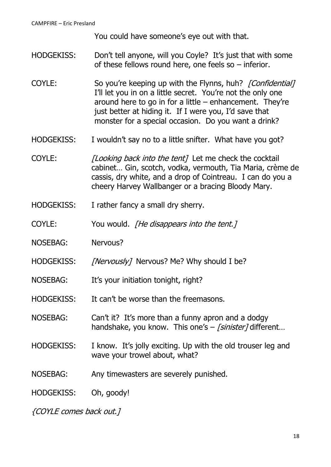You could have someone's eye out with that.

- HODGEKISS: Don't tell anyone, will you Coyle? It's just that with some of these fellows round here, one feels so – inferior.
- COYLE: So you're keeping up with the Flynns, huh? [Confidential] I'll let you in on a little secret. You're not the only one around here to go in for a little – enhancement. They're just better at hiding it. If I were you, I'd save that monster for a special occasion. Do you want a drink?
- HODGEKISS: I wouldn't say no to a little snifter. What have you got?
- COYLE: [Looking back into the tent] Let me check the cocktail cabinet… Gin, scotch, vodka, vermouth, Tia Maria, crème de cassis, dry white, and a drop of Cointreau. I can do you a cheery Harvey Wallbanger or a bracing Bloody Mary.
- HODGEKISS: I rather fancy a small dry sherry.
- COYLE: You would. *[He disappears into the tent.]*
- NOSEBAG: Nervous?
- HODGEKISS: [Nervously] Nervous? Me? Why should I be?
- NOSEBAG: It's your initiation tonight, right?
- HODGEKISS: It can't be worse than the freemasons.
- NOSEBAG: Can't it? It's more than a funny apron and a dodgy handshake, you know. This one's  $-$  [sinister] different...
- HODGEKISS: I know. It's jolly exciting. Up with the old trouser leg and wave your trowel about, what?
- NOSEBAG: Any timewasters are severely punished.

HODGEKISS: Oh, goody!

{COYLE comes back out.]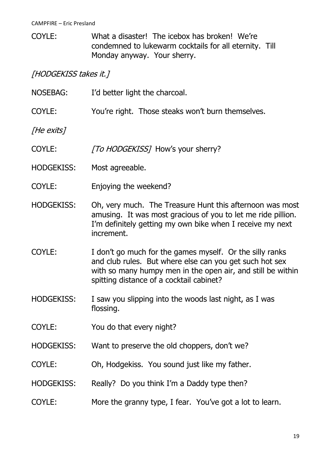COYLE: What a disaster! The icebox has broken! We're condemned to lukewarm cocktails for all eternity. Till Monday anyway. Your sherry.

[HODGEKISS takes it.]

| <b>NOSEBAG:</b>   | I'd better light the charcoal.                                                                                                                                                                                                 |  |  |  |
|-------------------|--------------------------------------------------------------------------------------------------------------------------------------------------------------------------------------------------------------------------------|--|--|--|
| COYLE:            | You're right. Those steaks won't burn themselves.                                                                                                                                                                              |  |  |  |
| [He exits]        |                                                                                                                                                                                                                                |  |  |  |
| COYLE:            | [To HODGEKISS] How's your sherry?                                                                                                                                                                                              |  |  |  |
| <b>HODGEKISS:</b> | Most agreeable.                                                                                                                                                                                                                |  |  |  |
| COYLE:            | Enjoying the weekend?                                                                                                                                                                                                          |  |  |  |
| <b>HODGEKISS:</b> | Oh, very much. The Treasure Hunt this afternoon was most<br>amusing. It was most gracious of you to let me ride pillion.<br>I'm definitely getting my own bike when I receive my next<br>increment.                            |  |  |  |
| COYLE:            | I don't go much for the games myself. Or the silly ranks<br>and club rules. But where else can you get such hot sex<br>with so many humpy men in the open air, and still be within<br>spitting distance of a cocktail cabinet? |  |  |  |
| <b>HODGEKISS:</b> | I saw you slipping into the woods last night, as I was<br>flossing.                                                                                                                                                            |  |  |  |
| COYLE:            | You do that every night?                                                                                                                                                                                                       |  |  |  |
| <b>HODGEKISS:</b> | Want to preserve the old choppers, don't we?                                                                                                                                                                                   |  |  |  |
| COYLE:            | Oh, Hodgekiss. You sound just like my father.                                                                                                                                                                                  |  |  |  |
| <b>HODGEKISS:</b> | Really? Do you think I'm a Daddy type then?                                                                                                                                                                                    |  |  |  |
| COYLE:            | More the granny type, I fear. You've got a lot to learn.                                                                                                                                                                       |  |  |  |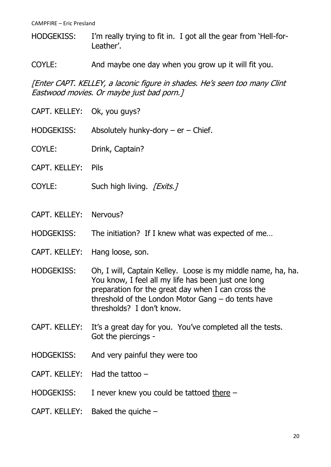- HODGEKISS: I'm really trying to fit in. I got all the gear from 'Hell-for-Leather'.
- COYLE: And maybe one day when you grow up it will fit you.

[Enter CAPT. KELLEY, a laconic figure in shades. He's seen too many Clint Eastwood movies. Or maybe just bad porn.]

- CAPT. KELLEY: Ok, you guys?
- HODGEKISS: Absolutely hunky-dory er Chief.
- COYLE: Drink, Captain?
- CAPT. KELLEY: Pils
- COYLE: Such high living. [Exits.]
- CAPT. KELLEY: Nervous?
- HODGEKISS: The initiation? If I knew what was expected of me...
- CAPT. KELLEY: Hang loose, son.
- HODGEKISS: Oh, I will, Captain Kelley. Loose is my middle name, ha, ha. You know, I feel all my life has been just one long preparation for the great day when I can cross the threshold of the London Motor Gang – do tents have thresholds? I don't know.
- CAPT. KELLEY: It's a great day for you. You've completed all the tests. Got the piercings -
- HODGEKISS: And very painful they were too
- CAPT. KELLEY: Had the tattoo –
- HODGEKISS: I never knew you could be tattoed there –
- CAPT. KELLEY: Baked the quiche –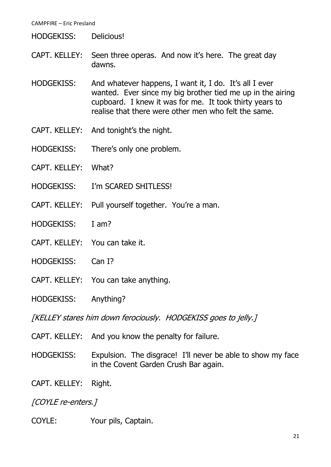#### HODGEKISS: Delicious!

- CAPT. KELLEY: Seen three operas. And now it's here. The great day dawns.
- HODGEKISS: And whatever happens, I want it, I do. It's all I ever wanted. Ever since my big brother tied me up in the airing cupboard. I knew it was for me. It took thirty years to realise that there were other men who felt the same.
- CAPT. KELLEY: And tonight's the night.
- HODGEKISS: There's only one problem.
- CAPT. KELLEY: What?
- HODGEKISS: I'm SCARED SHITLESS!
- CAPT. KELLEY: Pull yourself together. You're a man.
- HODGEKISS: I am?
- CAPT. KELLEY: You can take it.
- HODGEKISS: Can I?
- CAPT. KELLEY: You can take anything.
- HODGEKISS: Anything?

[KELLEY stares him down ferociously. HODGEKISS goes to jelly.]

- CAPT. KELLEY: And you know the penalty for failure.
- HODGEKISS: Expulsion. The disgrace! I'll never be able to show my face in the Covent Garden Crush Bar again.
- CAPT. KELLEY: Right.

[COYLE re-enters.]

COYLE: Your pils, Captain.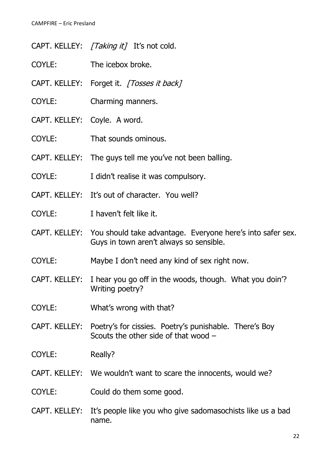- CAPT. KELLEY: [Taking it] It's not cold.
- COYLE: The icebox broke.
- CAPT. KELLEY: Forget it. [Tosses it back]
- COYLE: Charming manners.
- CAPT. KELLEY: Coyle. A word.
- COYLE: That sounds ominous.
- CAPT. KELLEY: The guys tell me you've not been balling.
- COYLE: I didn't realise it was compulsory.
- CAPT. KELLEY: It's out of character. You well?
- COYLE: I haven't felt like it.
- CAPT. KELLEY: You should take advantage. Everyone here's into safer sex. Guys in town aren't always so sensible.
- COYLE: Maybe I don't need any kind of sex right now.
- CAPT. KELLEY: I hear you go off in the woods, though. What you doin'? Writing poetry?
- COYLE: What's wrong with that?
- CAPT. KELLEY: Poetry's for cissies. Poetry's punishable. There's Boy Scouts the other side of that wood –
- COYLE: Really?
- CAPT. KELLEY: We wouldn't want to scare the innocents, would we?
- COYLE: Could do them some good.
- CAPT. KELLEY: It's people like you who give sadomasochists like us a bad name.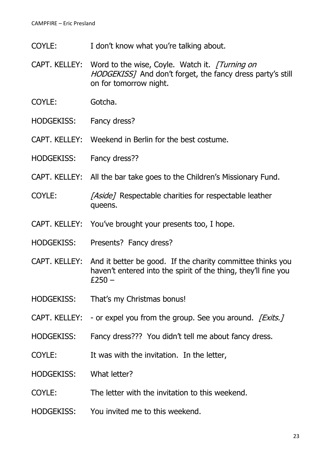- COYLE: I don't know what you're talking about.
- CAPT. KELLEY: Word to the wise, Coyle. Watch it. [Turning on HODGEKISS] And don't forget, the fancy dress party's still on for tomorrow night.
- COYLE: Gotcha.
- HODGEKISS: Fancy dress?
- CAPT. KELLEY: Weekend in Berlin for the best costume.
- HODGEKISS: Fancy dress??
- CAPT. KELLEY: All the bar take goes to the Children's Missionary Fund.
- COYLE: [Aside] Respectable charities for respectable leather queens.
- CAPT. KELLEY: You've brought your presents too, I hope.
- HODGEKISS: Presents? Fancy dress?
- CAPT. KELLEY: And it better be good. If the charity committee thinks you haven't entered into the spirit of the thing, they'll fine you  $£250 -$
- HODGEKISS: That's my Christmas bonus!
- CAPT. KELLEY: or expel you from the group. See you around. *[Exits.]*
- HODGEKISS: Fancy dress??? You didn't tell me about fancy dress.
- COYLE: It was with the invitation. In the letter,
- HODGEKISS: What letter?
- COYLE: The letter with the invitation to this weekend.
- HODGEKISS: You invited me to this weekend.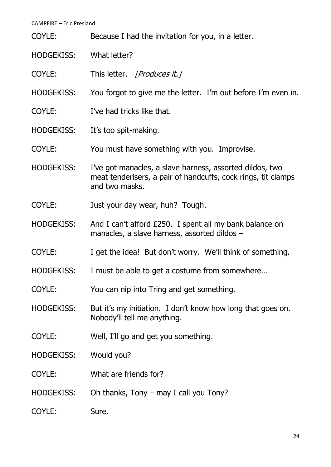| CAIVIT TINL — LIIC T I CSIGHC |                                                                                                                                             |  |  |  |
|-------------------------------|---------------------------------------------------------------------------------------------------------------------------------------------|--|--|--|
| COYLE:                        | Because I had the invitation for you, in a letter.                                                                                          |  |  |  |
| <b>HODGEKISS:</b>             | What letter?                                                                                                                                |  |  |  |
| COYLE:                        | This letter. [Produces it.]                                                                                                                 |  |  |  |
| <b>HODGEKISS:</b>             | You forgot to give me the letter. I'm out before I'm even in.                                                                               |  |  |  |
| COYLE:                        | I've had tricks like that.                                                                                                                  |  |  |  |
| <b>HODGEKISS:</b>             | It's too spit-making.                                                                                                                       |  |  |  |
| COYLE:                        | You must have something with you. Improvise.                                                                                                |  |  |  |
| <b>HODGEKISS:</b>             | I've got manacles, a slave harness, assorted dildos, two<br>meat tenderisers, a pair of handcuffs, cock rings, tit clamps<br>and two masks. |  |  |  |
| COYLE:                        | Just your day wear, huh? Tough.                                                                                                             |  |  |  |
| <b>HODGEKISS:</b>             | And I can't afford £250. I spent all my bank balance on<br>manacles, a slave harness, assorted dildos -                                     |  |  |  |
| COYLE:                        | I get the idea! But don't worry. We'll think of something.                                                                                  |  |  |  |
| <b>HODGEKISS:</b>             | I must be able to get a costume from somewhere.                                                                                             |  |  |  |
| COYLE:                        | You can nip into Tring and get something.                                                                                                   |  |  |  |
| <b>HODGEKISS:</b>             | But it's my initiation. I don't know how long that goes on.<br>Nobody'll tell me anything.                                                  |  |  |  |
| COYLE:                        | Well, I'll go and get you something.                                                                                                        |  |  |  |
| <b>HODGEKISS:</b>             | Would you?                                                                                                                                  |  |  |  |
| COYLE:                        | What are friends for?                                                                                                                       |  |  |  |
| <b>HODGEKISS:</b>             | Oh thanks, Tony $-$ may I call you Tony?                                                                                                    |  |  |  |
| COYLE:                        | Sure.                                                                                                                                       |  |  |  |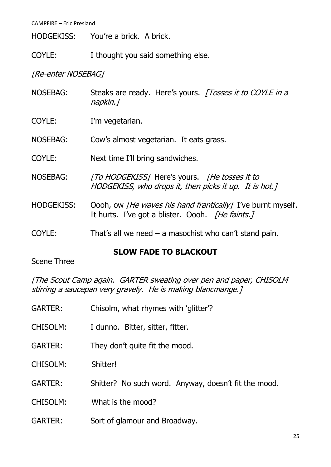HODGEKISS: You're a brick. A brick.

COYLE: I thought you said something else.

[Re-enter NOSEBAG]

- NOSEBAG: Steaks are ready. Here's yours. [Tosses it to COYLE in a napkin.]
- COYLE: I'm vegetarian.
- NOSEBAG: Cow's almost vegetarian. It eats grass.
- COYLE: Next time I'll bring sandwiches.
- NOSEBAG: [To HODGEKISS] Here's yours. [He tosses it to HODGEKISS, who drops it, then picks it up. It is hot.]
- HODGEKISS: Oooh, ow *[He waves his hand frantically]* I've burnt myself. It hurts. I've got a blister. Oooh. *[He faints.]*
- COYLE: That's all we need  $-$  a masochist who can't stand pain.

#### **SLOW FADE TO BLACKOUT**

#### Scene Three

[The Scout Camp again. GARTER sweating over pen and paper, CHISOLM stirring a saucepan very gravely. He is making blancmange.]

| <b>GARTER:</b>  | Chisolm, what rhymes with 'glitter'?                 |  |  |  |
|-----------------|------------------------------------------------------|--|--|--|
| <b>CHISOLM:</b> | I dunno. Bitter, sitter, fitter.                     |  |  |  |
| <b>GARTER:</b>  | They don't quite fit the mood.                       |  |  |  |
| <b>CHISOLM:</b> | Shitter!                                             |  |  |  |
| <b>GARTER:</b>  | Shitter? No such word. Anyway, doesn't fit the mood. |  |  |  |
| <b>CHISOLM:</b> | What is the mood?                                    |  |  |  |
| <b>GARTER:</b>  | Sort of glamour and Broadway.                        |  |  |  |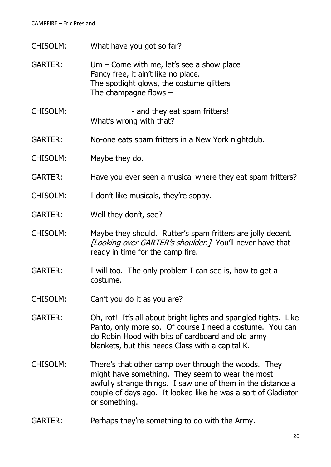CHISOLM: What have you got so far?

GARTER: Um – Come with me, let's see a show place Fancy free, it ain't like no place. The spotlight glows, the costume glitters The champagne flows –

- CHISOLM:  $-$  and they eat spam fritters! What's wrong with that?
- GARTER: No-one eats spam fritters in a New York nightclub.
- CHISOLM: Maybe they do.
- GARTER: Have you ever seen a musical where they eat spam fritters?
- CHISOLM: I don't like musicals, they're soppy.
- GARTER: Well they don't, see?
- CHISOLM: Maybe they should. Rutter's spam fritters are jolly decent. [Looking over GARTER's shoulder.] You'll never have that ready in time for the camp fire.
- GARTER: I will too. The only problem I can see is, how to get a costume.
- CHISOLM: Can't you do it as you are?
- GARTER: Oh, rot! It's all about bright lights and spangled tights. Like Panto, only more so. Of course I need a costume. You can do Robin Hood with bits of cardboard and old army blankets, but this needs Class with a capital K.
- CHISOLM: There's that other camp over through the woods. They might have something. They seem to wear the most awfully strange things. I saw one of them in the distance a couple of days ago. It looked like he was a sort of Gladiator or something.
- GARTER: Perhaps they're something to do with the Army.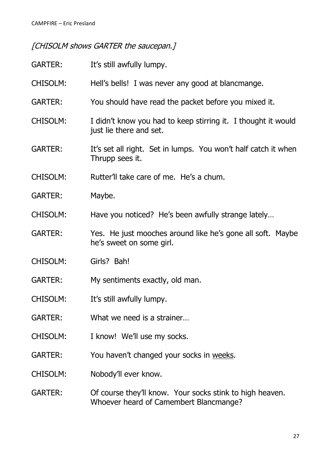## [CHISOLM shows GARTER the saucepan.]

| <b>GARTER:</b>  | It's still awfully lumpy.                                                                          |  |  |  |
|-----------------|----------------------------------------------------------------------------------------------------|--|--|--|
| <b>CHISOLM:</b> | Hell's bells! I was never any good at blancmange.                                                  |  |  |  |
| <b>GARTER:</b>  | You should have read the packet before you mixed it.                                               |  |  |  |
| <b>CHISOLM:</b> | I didn't know you had to keep stirring it. I thought it would<br>just lie there and set.           |  |  |  |
| <b>GARTER:</b>  | It's set all right. Set in lumps. You won't half catch it when<br>Thrupp sees it.                  |  |  |  |
| <b>CHISOLM:</b> | Rutter'll take care of me. He's a chum.                                                            |  |  |  |
| <b>GARTER:</b>  | Maybe.                                                                                             |  |  |  |
| <b>CHISOLM:</b> | Have you noticed? He's been awfully strange lately                                                 |  |  |  |
| <b>GARTER:</b>  | Yes. He just mooches around like he's gone all soft. Maybe<br>he's sweet on some girl.             |  |  |  |
| <b>CHISOLM:</b> | Girls? Bah!                                                                                        |  |  |  |
| <b>GARTER:</b>  | My sentiments exactly, old man.                                                                    |  |  |  |
| <b>CHISOLM:</b> | It's still awfully lumpy.                                                                          |  |  |  |
| <b>GARTER:</b>  | What we need is a strainer                                                                         |  |  |  |
| <b>CHISOLM:</b> | I know! We'll use my socks.                                                                        |  |  |  |
| <b>GARTER:</b>  | You haven't changed your socks in weeks.                                                           |  |  |  |
| <b>CHISOLM:</b> | Nobody'll ever know.                                                                               |  |  |  |
| <b>GARTER:</b>  | Of course they'll know. Your socks stink to high heaven.<br>Whoever heard of Camembert Blancmange? |  |  |  |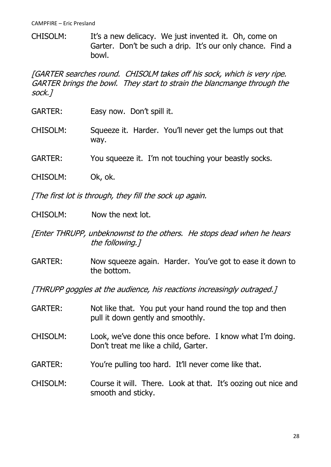CHISOLM: It's a new delicacy. We just invented it. Oh, come on Garter. Don't be such a drip. It's our only chance. Find a bowl.

[GARTER searches round. CHISOLM takes off his sock, which is very ripe. GARTER brings the bowl. They start to strain the blancmange through the sock.]

- GARTER: Easy now. Don't spill it.
- CHISOLM: Squeeze it. Harder. You'll never get the lumps out that way.
- GARTER: You squeeze it. I'm not touching your beastly socks.
- CHISOLM: Ok, ok.

[The first lot is through, they fill the sock up again.

- CHISOLM: Now the next lot.
- [Enter THRUPP, unbeknownst to the others. He stops dead when he hears the following.]
- GARTER: Now squeeze again. Harder. You've got to ease it down to the bottom.

[THRUPP goggles at the audience, his reactions increasingly outraged.]

GARTER: Not like that. You put your hand round the top and then pull it down gently and smoothly. CHISOLM: Look, we've done this once before. I know what I'm doing. Don't treat me like a child, Garter. GARTER: You're pulling too hard. It'll never come like that. CHISOLM: Course it will. There. Look at that. It's oozing out nice and smooth and sticky.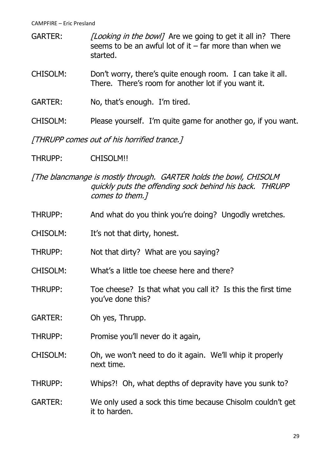GARTER: [Looking in the bowl] Are we going to get it all in? There seems to be an awful lot of it  $-$  far more than when we started.

- CHISOLM: Don't worry, there's quite enough room. I can take it all. There. There's room for another lot if you want it.
- GARTER: No, that's enough. I'm tired.
- CHISOLM: Please yourself. I'm quite game for another go, if you want.

[THRUPP comes out of his horrified trance.]

THRUPP: CHISOLM!!

[The blancmange is mostly through. GARTER holds the bowl, CHISOLM quickly puts the offending sock behind his back. THRUPP comes to them.]

- THRUPP: And what do you think you're doing? Ungodly wretches.
- CHISOLM: It's not that dirty, honest.
- THRUPP: Not that dirty? What are you saying?
- CHISOLM: What's a little toe cheese here and there?
- THRUPP: Toe cheese? Is that what you call it? Is this the first time you've done this?

GARTER: Oh yes, Thrupp.

THRUPP: Promise you'll never do it again,

- CHISOLM: Oh, we won't need to do it again. We'll whip it properly next time.
- THRUPP: Whips?! Oh, what depths of depravity have you sunk to?
- GARTER: We only used a sock this time because Chisolm couldn't get it to harden.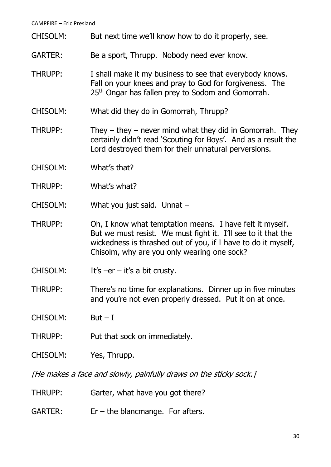- CHISOLM: But next time we'll know how to do it properly, see.
- GARTER: Be a sport, Thrupp. Nobody need ever know.
- THRUPP: I shall make it my business to see that everybody knows. Fall on your knees and pray to God for forgiveness. The 25<sup>th</sup> Ongar has fallen prey to Sodom and Gomorrah.
- CHISOLM: What did they do in Gomorrah, Thrupp?
- THRUPP: They they never mind what they did in Gomorrah. They certainly didn't read 'Scouting for Boys'. And as a result the Lord destroyed them for their unnatural perversions.
- CHISOLM: What's that?
- THRUPP: What's what?
- CHISOLM: What you just said. Unnat –
- THRUPP: Oh, I know what temptation means. I have felt it myself. But we must resist. We must fight it. I'll see to it that the wickedness is thrashed out of you, if I have to do it myself, Chisolm, why are you only wearing one sock?
- CHISOLM: It's –er it's a bit crusty.
- THRUPP: There's no time for explanations. Dinner up in five minutes and you're not even properly dressed. Put it on at once.
- $CHISOLM:$  But  $-I$
- THRUPP: Put that sock on immediately.
- CHISOLM: Yes, Thrupp.

[He makes a face and slowly, painfully draws on the sticky sock.]

- THRUPP: Garter, what have you got there?
- GARTER:  $Er the blancmange. For after  $s$ .$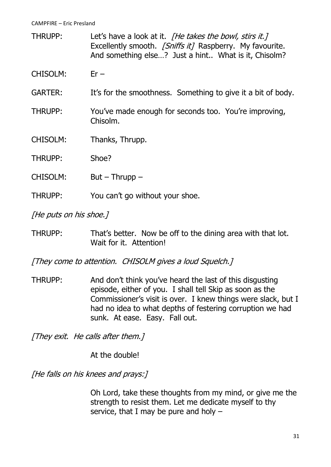THRUPP: Let's have a look at it. *[He takes the bowl, stirs it.]* Excellently smooth. [Sniffs it] Raspberry. My favourite. And something else…? Just a hint.. What is it, Chisolm?

CHISOLM: Er –

- GARTER: It's for the smoothness. Something to give it a bit of body.
- THRUPP: You've made enough for seconds too. You're improving, Chisolm.
- CHISOLM: Thanks, Thrupp.
- THRUPP: Shoe?
- CHISOLM: But Thrupp –
- THRUPP: You can't go without your shoe.

[He puts on his shoe.]

THRUPP: That's better. Now be off to the dining area with that lot. Wait for it. Attention!

[They come to attention. CHISOLM gives a loud Squelch.]

THRUPP: And don't think you've heard the last of this disgusting episode, either of you. I shall tell Skip as soon as the Commissioner's visit is over. I knew things were slack, but I had no idea to what depths of festering corruption we had sunk. At ease. Easy. Fall out.

[They exit. He calls after them.]

At the double!

[He falls on his knees and prays:]

Oh Lord, take these thoughts from my mind, or give me the strength to resist them. Let me dedicate myself to thy service, that I may be pure and holy –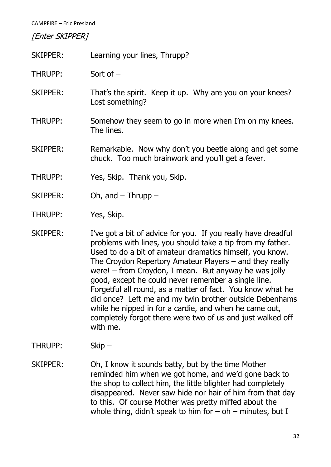[Enter SKIPPER]

- SKIPPER: Learning your lines, Thrupp?
- THRUPP: Sort of –
- SKIPPER: That's the spirit. Keep it up. Why are you on your knees? Lost something?
- THRUPP: Somehow they seem to go in more when I'm on my knees. The lines.
- SKIPPER: Remarkable. Now why don't you beetle along and get some chuck. Too much brainwork and you'll get a fever.
- THRUPP: Yes, Skip. Thank you, Skip.
- SKIPPER: Oh, and Thrupp –
- THRUPP: Yes, Skip.
- SKIPPER: I've got a bit of advice for you. If you really have dreadful problems with lines, you should take a tip from my father. Used to do a bit of amateur dramatics himself, you know. The Croydon Repertory Amateur Players – and they really were! – from Croydon, I mean. But anyway he was jolly good, except he could never remember a single line. Forgetful all round, as a matter of fact. You know what he did once? Left me and my twin brother outside Debenhams while he nipped in for a cardie, and when he came out, completely forgot there were two of us and just walked off with me.
- THRUPP: Skip –
- SKIPPER: Oh, I know it sounds batty, but by the time Mother reminded him when we got home, and we'd gone back to the shop to collect him, the little blighter had completely disappeared. Never saw hide nor hair of him from that day to this. Of course Mother was pretty miffed about the whole thing, didn't speak to him for  $-$  oh  $-$  minutes, but I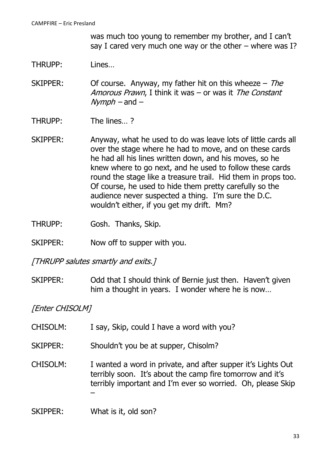was much too young to remember my brother, and I can't say I cared very much one way or the other – where was I?

- THRUPP: Lines…
- SKIPPER: Of course. Anyway, my father hit on this wheeze  $-$  The Amorous Prawn, I think it was – or was it The Constant  $Nvmbh$  – and –
- THRUPP: The lines… ?
- SKIPPER: Anyway, what he used to do was leave lots of little cards all over the stage where he had to move, and on these cards he had all his lines written down, and his moves, so he knew where to go next, and he used to follow these cards round the stage like a treasure trail. Hid them in props too. Of course, he used to hide them pretty carefully so the audience never suspected a thing. I'm sure the D.C. wouldn't either, if you get my drift. Mm?
- THRUPP: Gosh. Thanks, Skip.
- SKIPPER: Now off to supper with you.

[THRUPP salutes smartly and exits.]

SKIPPER: Odd that I should think of Bernie just then. Haven't given him a thought in years. I wonder where he is now…

[Enter CHISOLM]

- CHISOLM: I say, Skip, could I have a word with you?
- SKIPPER: Shouldn't you be at supper, Chisolm?
- CHISOLM: I wanted a word in private, and after supper it's Lights Out terribly soon. It's about the camp fire tomorrow and it's terribly important and I'm ever so worried. Oh, please Skip –
- SKIPPER: What is it, old son?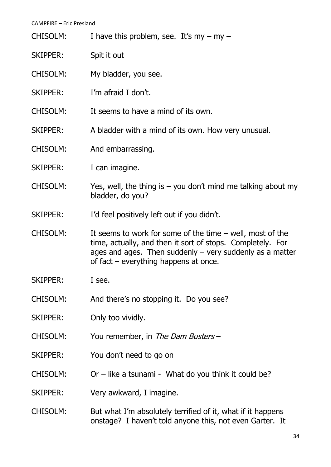| <b>CHISOLM:</b> |  | I have this problem, see. It's my $-$ my $-$ |
|-----------------|--|----------------------------------------------|
|                 |  |                                              |

- SKIPPER: Spit it out
- CHISOLM: My bladder, you see.
- SKIPPER: I'm afraid I don't.
- CHISOLM: It seems to have a mind of its own.
- SKIPPER: A bladder with a mind of its own. How very unusual.
- CHISOLM: And embarrassing.
- SKIPPER: I can imagine.
- CHISOLM: Yes, well, the thing is  $-$  you don't mind me talking about my bladder, do you?
- SKIPPER: I'd feel positively left out if you didn't.
- CHISOLM: It seems to work for some of the time well, most of the time, actually, and then it sort of stops. Completely. For ages and ages. Then suddenly  $-$  very suddenly as a matter of fact – everything happens at once.
- SKIPPER: I see.
- CHISOLM: And there's no stopping it. Do you see?
- SKIPPER: Only too vividly.
- CHISOLM: You remember, in The Dam Busters –
- SKIPPER: You don't need to go on
- CHISOLM:  $Or like a tsunami What do you think it could be?$
- SKIPPER: Very awkward, I imagine.
- CHISOLM: But what I'm absolutely terrified of it, what if it happens onstage? I haven't told anyone this, not even Garter. It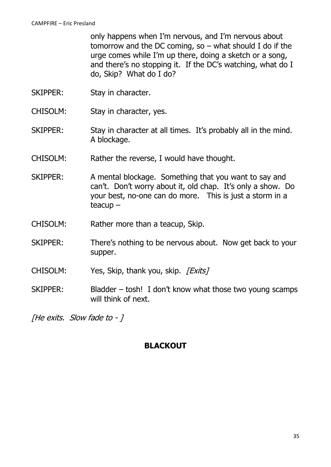only happens when I'm nervous, and I'm nervous about tomorrow and the DC coming, so – what should I do if the urge comes while I'm up there, doing a sketch or a song, and there's no stopping it. If the DC's watching, what do I do, Skip? What do I do?

- SKIPPER: Stay in character.
- CHISOLM: Stay in character, yes.
- SKIPPER: Stay in character at all times. It's probably all in the mind. A blockage.
- CHISOLM: Rather the reverse, I would have thought.
- SKIPPER: A mental blockage. Something that you want to say and can't. Don't worry about it, old chap. It's only a show. Do your best, no-one can do more. This is just a storm in a teacup –
- CHISOLM: Rather more than a teacup, Skip.
- SKIPPER: There's nothing to be nervous about. Now get back to your supper.
- CHISOLM: Yes, Skip, thank you, skip. [Exits]
- SKIPPER: Bladder tosh! I don't know what those two young scamps will think of next.

[He exits. Slow fade to - ]

#### **BLACKOUT**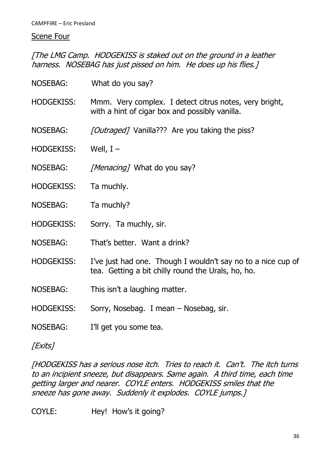#### Scene Four

[The LMG Camp. HODGEKISS is staked out on the ground in a leather harness. NOSEBAG has just pissed on him. He does up his flies.]

| NOSEBAG:          | What do you say?                                                                                                   |
|-------------------|--------------------------------------------------------------------------------------------------------------------|
| <b>HODGEKISS:</b> | Mmm. Very complex. I detect citrus notes, very bright,<br>with a hint of cigar box and possibly vanilla.           |
| NOSEBAG:          | <i>[Outraged]</i> Vanilla??? Are you taking the piss?                                                              |
| <b>HODGEKISS:</b> | Well, $I -$                                                                                                        |
| <b>NOSEBAG:</b>   | <i>[Menacing]</i> What do you say?                                                                                 |
| <b>HODGEKISS:</b> | Ta muchly.                                                                                                         |
| <b>NOSEBAG:</b>   | Ta muchly?                                                                                                         |
| <b>HODGEKISS:</b> | Sorry. Ta muchly, sir.                                                                                             |
| <b>NOSEBAG:</b>   | That's better. Want a drink?                                                                                       |
| <b>HODGEKISS:</b> | I've just had one. Though I wouldn't say no to a nice cup of<br>tea. Getting a bit chilly round the Urals, ho, ho. |
| NOSEBAG:          | This isn't a laughing matter.                                                                                      |
| <b>HODGEKISS:</b> | Sorry, Nosebag. I mean – Nosebag, sir.                                                                             |
| <b>NOSEBAG:</b>   | I'll get you some tea.                                                                                             |
|                   |                                                                                                                    |

[Exits]

[HODGEKISS has a serious nose itch. Tries to reach it. Can't. The itch turns to an incipient sneeze, but disappears. Same again. A third time, each time getting larger and nearer. COYLE enters. HODGEKISS smiles that the sneeze has gone away. Suddenly it explodes. COYLE jumps.]

COYLE: Hey! How's it going?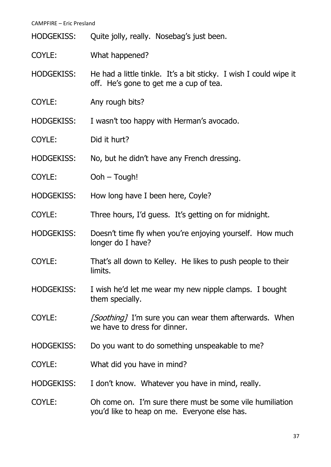HODGEKISS: Quite jolly, really. Nosebag's just been.

- COYLE: What happened?
- HODGEKISS: He had a little tinkle. It's a bit sticky. I wish I could wipe it off. He's gone to get me a cup of tea.
- COYLE: Any rough bits?

HODGEKISS: I wasn't too happy with Herman's avocado.

- COYLE: Did it hurt?
- HODGEKISS: No, but he didn't have any French dressing.
- COYLE: Ooh Tough!
- HODGEKISS: How long have I been here, Coyle?
- COYLE: Three hours, I'd guess. It's getting on for midnight.
- HODGEKISS: Doesn't time fly when you're enjoying yourself. How much longer do I have?
- COYLE: That's all down to Kelley. He likes to push people to their limits.
- HODGEKISS: I wish he'd let me wear my new nipple clamps. I bought them specially.
- COYLE: [Soothing] I'm sure you can wear them afterwards. When we have to dress for dinner.
- HODGEKISS: Do you want to do something unspeakable to me?
- COYLE: What did you have in mind?
- HODGEKISS: I don't know. Whatever you have in mind, really.
- COYLE: Oh come on. I'm sure there must be some vile humiliation you'd like to heap on me. Everyone else has.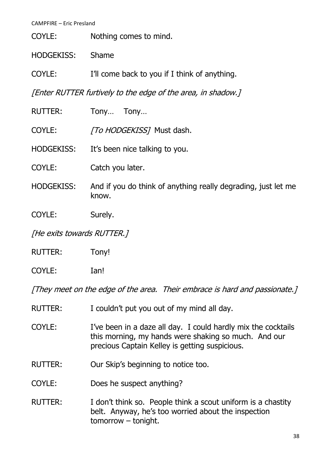COYLE: Nothing comes to mind.

HODGEKISS: Shame

COYLE: I'll come back to you if I think of anything.

[Enter RUTTER furtively to the edge of the area, in shadow.]

| <b>RUTTER:</b>    | Tony<br>Tony                                                           |
|-------------------|------------------------------------------------------------------------|
| COYLE:            | [To HODGEKISS] Must dash.                                              |
| <b>HODGEKISS:</b> | It's been nice talking to you.                                         |
| COYLE:            | Catch you later.                                                       |
| <b>HODGEKISS:</b> | And if you do think of anything really degrading, just let me<br>know. |
| COYLE:            | Surely.                                                                |
| $\mathbf{r}$ .    |                                                                        |

[He exits towards RUTTER.]

RUTTER: Tony!

COYLE: Ian!

[They meet on the edge of the area. Their embrace is hard and passionate.]

- RUTTER: I couldn't put you out of my mind all day.
- COYLE: I've been in a daze all day. I could hardly mix the cocktails this morning, my hands were shaking so much. And our precious Captain Kelley is getting suspicious.
- RUTTER: Our Skip's beginning to notice too.
- COYLE: Does he suspect anything?
- RUTTER: I don't think so. People think a scout uniform is a chastity belt. Anyway, he's too worried about the inspection tomorrow – tonight.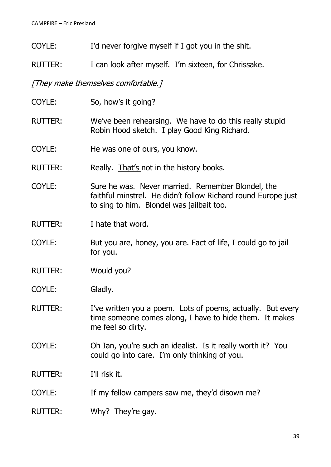- COYLE: I'd never forgive myself if I got you in the shit.
- RUTTER: I can look after myself. I'm sixteen, for Chrissake.

[They make themselves comfortable.]

COYLE: So, how's it going? RUTTER: We've been rehearsing. We have to do this really stupid Robin Hood sketch. I play Good King Richard. COYLE: He was one of ours, you know. RUTTER: Really. That's not in the history books. COYLE: Sure he was. Never married. Remember Blondel, the faithful minstrel. He didn't follow Richard round Europe just to sing to him. Blondel was jailbait too. RUTTER: I hate that word. COYLE: But you are, honey, you are. Fact of life, I could go to jail for you. RUTTER: Would you? COYLE: Gladly. RUTTER: I've written you a poem. Lots of poems, actually. But every time someone comes along, I have to hide them. It makes me feel so dirty. COYLE: Oh Ian, you're such an idealist. Is it really worth it? You could go into care. I'm only thinking of you. RUTTER: I'll risk it. COYLE: If my fellow campers saw me, they'd disown me? RUTTER: Why? They're gay.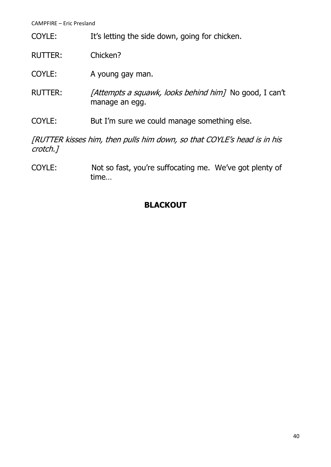- COYLE: It's letting the side down, going for chicken.
- RUTTER: Chicken?
- COYLE: A young gay man.
- RUTTER: [Attempts a squawk, looks behind him] No good, I can't manage an egg.
- COYLE: But I'm sure we could manage something else.

[RUTTER kisses him, then pulls him down, so that COYLE's head is in his crotch.]

COYLE: Not so fast, you're suffocating me. We've got plenty of time…

# **BLACKOUT**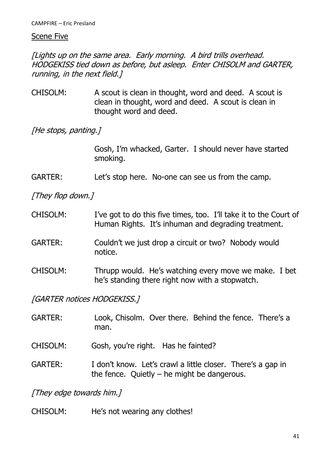#### Scene Five

[Lights up on the same area. Early morning. A bird trills overhead. HODGEKISS tied down as before, but asleep. Enter CHISOLM and GARTER, running, in the next field.]

CHISOLM: A scout is clean in thought, word and deed. A scout is clean in thought, word and deed. A scout is clean in thought word and deed.

[He stops, panting.]

Gosh, I'm whacked, Garter. I should never have started smoking.

GARTER: Let's stop here. No-one can see us from the camp.

[They flop down.]

CHISOLM: I've got to do this five times, too. I'll take it to the Court of Human Rights. It's inhuman and degrading treatment.

## GARTER: Couldn't we just drop a circuit or two? Nobody would notice.

CHISOLM: Thrupp would. He's watching every move we make. I bet he's standing there right now with a stopwatch.

[GARTER notices HODGEKISS.]

- GARTER: Look, Chisolm. Over there. Behind the fence. There's a man.
- CHISOLM: Gosh, you're right. Has he fainted?
- GARTER: I don't know. Let's crawl a little closer. There's a gap in the fence. Ouietly  $-$  he might be dangerous.

[They edge towards him.]

CHISOLM: He's not wearing any clothes!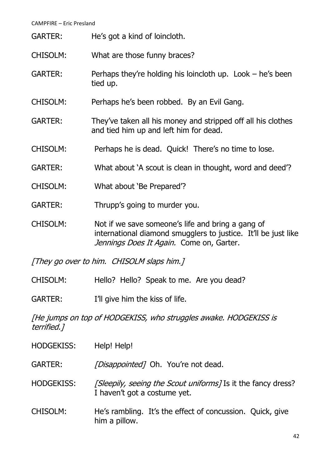- GARTER: He's got a kind of loincloth.
- CHISOLM: What are those funny braces?
- GARTER: Perhaps they're holding his loincloth up. Look he's been tied up.
- CHISOLM: Perhaps he's been robbed. By an Evil Gang.
- GARTER: They've taken all his money and stripped off all his clothes and tied him up and left him for dead.
- CHISOLM: Perhaps he is dead. Quick! There's no time to lose.
- GARTER: What about 'A scout is clean in thought, word and deed'?
- CHISOLM: What about 'Be Prepared'?
- GARTER: Thrupp's going to murder you.
- CHISOLM: Not if we save someone's life and bring a gang of international diamond smugglers to justice. It'll be just like Jennings Does It Again. Come on, Garter.

[They go over to him. CHISOLM slaps him.]

- CHISOLM: Hello? Hello? Speak to me. Are you dead?
- GARTER: I'll give him the kiss of life.

[He jumps on top of HODGEKISS, who struggles awake. HODGEKISS is terrified.]

HODGEKISS: Help! Help!

GARTER: [Disappointed] Oh. You're not dead.

- HODGEKISS: [Sleepily, seeing the Scout uniforms] Is it the fancy dress? I haven't got a costume yet.
- CHISOLM: He's rambling. It's the effect of concussion. Quick, give him a pillow.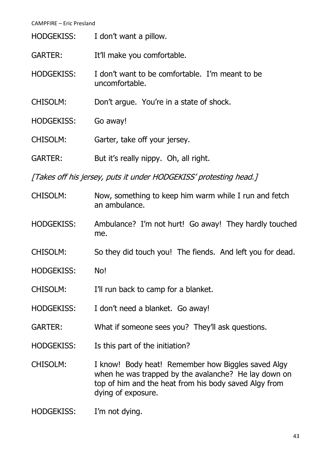| <b>HODGEKISS:</b> | I don't want a pillow.                                            |
|-------------------|-------------------------------------------------------------------|
| <b>GARTER:</b>    | It'll make you comfortable.                                       |
| <b>HODGEKISS:</b> | I don't want to be comfortable. I'm meant to be<br>uncomfortable. |
| <b>CHISOLM:</b>   | Don't argue. You're in a state of shock.                          |
| <b>HODGEKISS:</b> | Go away!                                                          |
| <b>CHISOLM:</b>   | Garter, take off your jersey.                                     |
| GARTER:           | But it's really nippy. Oh, all right.                             |

[Takes off his jersey, puts it under HODGEKISS' protesting head.]

- CHISOLM: Now, something to keep him warm while I run and fetch an ambulance.
- HODGEKISS: Ambulance? I'm not hurt! Go away! They hardly touched me.
- CHISOLM: So they did touch you! The fiends. And left you for dead.
- HODGEKISS: No!
- CHISOLM: I'll run back to camp for a blanket.
- HODGEKISS: I don't need a blanket. Go away!
- GARTER: What if someone sees you? They'll ask questions.
- HODGEKISS: Is this part of the initiation?
- CHISOLM: I know! Body heat! Remember how Biggles saved Algy when he was trapped by the avalanche? He lay down on top of him and the heat from his body saved Algy from dying of exposure.
- HODGEKISS: I'm not dying.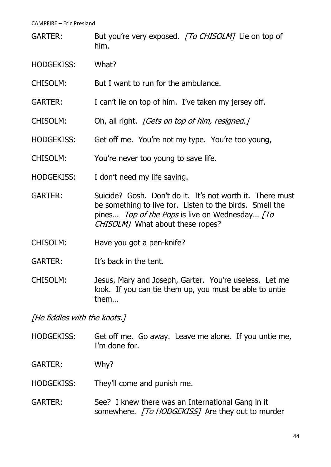- GARTER: But you're very exposed. [To CHISOLM] Lie on top of him.
- HODGEKISS: What?
- CHISOLM: But I want to run for the ambulance.
- GARTER: I can't lie on top of him. I've taken my jersey off.
- CHISOLM: Oh, all right. *[Gets on top of him, resigned.]*
- HODGEKISS: Get off me. You're not my type. You're too young,
- CHISOLM: You're never too young to save life.
- HODGEKISS: I don't need my life saving.
- GARTER: Suicide? Gosh. Don't do it. It's not worth it. There must be something to live for. Listen to the birds. Smell the pines... Top of the Pops is live on Wednesday... [To CHISOLM<sub>1</sub> What about these ropes?
- CHISOLM: Have you got a pen-knife?
- GARTER: It's back in the tent.
- CHISOLM: Jesus, Mary and Joseph, Garter. You're useless. Let me look. If you can tie them up, you must be able to untie them…

[He fiddles with the knots.]

- HODGEKISS: Get off me. Go away. Leave me alone. If you untie me, I'm done for.
- GARTER: Why?
- HODGEKISS: They'll come and punish me.
- GARTER: See? I knew there was an International Gang in it somewhere. [To HODGEKISS] Are they out to murder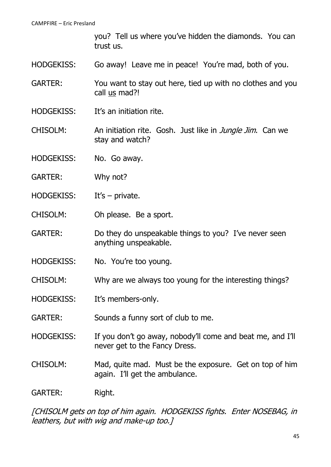you? Tell us where you've hidden the diamonds. You can trust us.

- HODGEKISS: Go away! Leave me in peace! You're mad, both of you.
- GARTER: You want to stay out here, tied up with no clothes and you call us mad?!
- HODGEKISS: It's an initiation rite.
- CHISOLM: An initiation rite. Gosh. Just like in *Jungle Jim*. Can we stay and watch?
- HODGEKISS: No. Go away.
- GARTER: Why not?
- HODGEKISS: It's private.
- CHISOLM: Oh please. Be a sport.
- GARTER: Do they do unspeakable things to you? I've never seen anything unspeakable.
- HODGEKISS: No. You're too young.
- CHISOLM: Why are we always too young for the interesting things?
- HODGEKISS: It's members-only.
- GARTER: Sounds a funny sort of club to me.
- HODGEKISS: If you don't go away, nobody'll come and beat me, and I'll never get to the Fancy Dress.
- CHISOLM: Mad, quite mad. Must be the exposure. Get on top of him again. I'll get the ambulance.
- GARTER: Right.

[CHISOLM gets on top of him again. HODGEKISS fights. Enter NOSEBAG, in leathers, but with wig and make-up too.]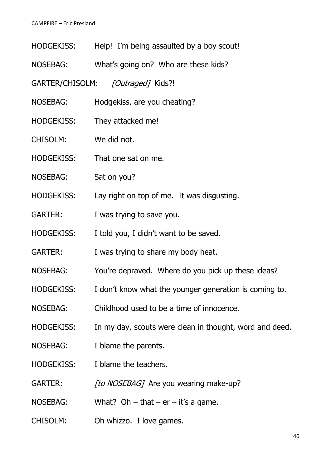| <b>HODGEKISS:</b> |  |  | Help! I'm being assaulted by a boy scout! |
|-------------------|--|--|-------------------------------------------|
|                   |  |  |                                           |

- NOSEBAG: What's going on? Who are these kids?
- GARTER/CHISOLM: [Outraged] Kids?!
- NOSEBAG: Hodgekiss, are you cheating?
- HODGEKISS: They attacked me!
- CHISOLM: We did not.
- HODGEKISS: That one sat on me.
- NOSEBAG: Sat on you?
- HODGEKISS: Lay right on top of me. It was disgusting.
- GARTER: I was trying to save you.
- HODGEKISS: I told you, I didn't want to be saved.
- GARTER: I was trying to share my body heat.
- NOSEBAG: You're depraved. Where do you pick up these ideas?
- HODGEKISS: I don't know what the younger generation is coming to.
- NOSEBAG: Childhood used to be a time of innocence.
- HODGEKISS: In my day, scouts were clean in thought, word and deed.
- NOSEBAG: I blame the parents.
- HODGEKISS: I blame the teachers.
- GARTER: [to NOSEBAG] Are you wearing make-up?
- NOSEBAG: What? Oh that  $er it's a game.$
- CHISOLM: Oh whizzo. I love games.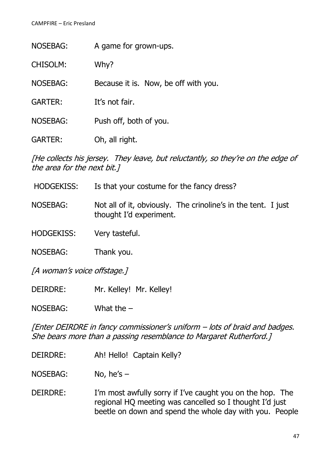| <b>NOSEBAG:</b> | A game for grown-ups.                |
|-----------------|--------------------------------------|
| <b>CHISOLM:</b> | Why?                                 |
| <b>NOSEBAG:</b> | Because it is. Now, be off with you. |
| <b>GARTER:</b>  | It's not fair.                       |
| <b>NOSEBAG:</b> | Push off, both of you.               |
| <b>GARTER:</b>  | Oh, all right.                       |

[He collects his jersey. They leave, but reluctantly, so they're on the edge of the area for the next bit.]

- HODGEKISS: Is that your costume for the fancy dress?
- NOSEBAG: Not all of it, obviously. The crinoline's in the tent. I just thought I'd experiment.

HODGEKISS: Very tasteful.

NOSEBAG: Thank you.

[A woman's voice offstage.]

DEIRDRE: Mr. Kelley! Mr. Kelley!

NOSEBAG: What the –

[Enter DEIRDRE in fancy commissioner's uniform – lots of braid and badges. She bears more than a passing resemblance to Margaret Rutherford.]

- DEIRDRE: Ah! Hello! Captain Kelly?
- NOSEBAG: No, he's –
- DEIRDRE: I'm most awfully sorry if I've caught you on the hop. The regional HQ meeting was cancelled so I thought I'd just beetle on down and spend the whole day with you. People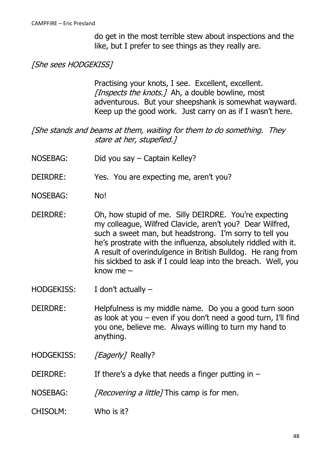do get in the most terrible stew about inspections and the like, but I prefer to see things as they really are.

# [She sees HODGEKISS]

Practising your knots, I see. Excellent, excellent. [Inspects the knots.] Ah, a double bowline, most adventurous. But your sheepshank is somewhat wayward. Keep up the good work. Just carry on as if I wasn't here.

[She stands and beams at them, waiting for them to do something. They stare at her, stupefied.]

- NOSEBAG: Did you say Captain Kelley?
- DEIRDRE: Yes. You are expecting me, aren't you?
- NOSEBAG: No!
- DEIRDRE: Oh, how stupid of me. Silly DEIRDRE. You're expecting my colleague, Wilfred Clavicle, aren't you? Dear Wilfred, such a sweet man, but headstrong. I'm sorry to tell you he's prostrate with the influenza, absolutely riddled with it. A result of overindulgence in British Bulldog. He rang from his sickbed to ask if I could leap into the breach. Well, you know me –
- HODGEKISS: I don't actually –
- DEIRDRE: Helpfulness is my middle name. Do you a good turn soon as look at you – even if you don't need a good turn, I'll find you one, believe me. Always willing to turn my hand to anything.
- HODGEKISS: [Eagerly] Really?
- DEIRDRE: If there's a dyke that needs a finger putting in  $-$
- NOSEBAG: *[Recovering a little]* This camp is for men.
- CHISOLM: Who is it?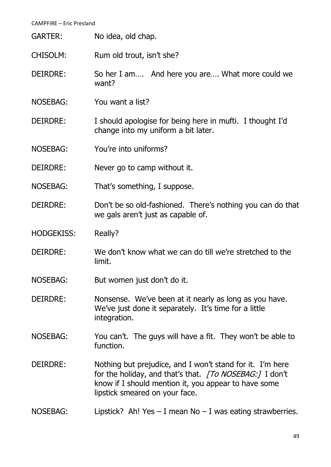| <b>GARTER:</b> | No idea, old chap. |
|----------------|--------------------|
|----------------|--------------------|

CHISOLM: Rum old trout, isn't she?

- DEIRDRE: So her I am.... And here you are.... What more could we want?
- NOSEBAG: You want a list?
- DEIRDRE: I should apologise for being here in mufti. I thought I'd change into my uniform a bit later.
- NOSEBAG: You're into uniforms?
- DEIRDRE: Never go to camp without it.
- NOSEBAG: That's something, I suppose.
- DEIRDRE: Don't be so old-fashioned. There's nothing you can do that we gals aren't just as capable of.
- HODGEKISS: Really?
- DEIRDRE: We don't know what we can do till we're stretched to the limit.
- NOSEBAG: But women just don't do it.
- DEIRDRE: Nonsense. We've been at it nearly as long as you have. We've just done it separately. It's time for a little integration.
- NOSEBAG: You can't. The guys will have a fit. They won't be able to function.
- DEIRDRE: Nothing but prejudice, and I won't stand for it. I'm here for the holiday, and that's that. [To NOSEBAG:] I don't know if I should mention it, you appear to have some lipstick smeared on your face.
- NOSEBAG: Lipstick? Ah! Yes I mean No I was eating strawberries.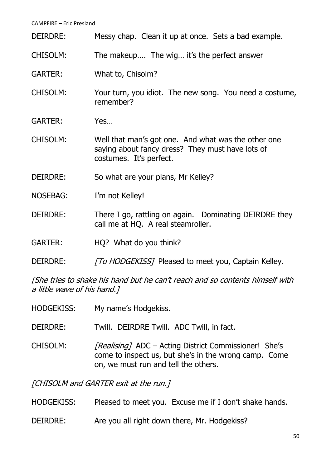| DEIRDRE:        | Messy chap. Clean it up at once. Sets a bad example.                                                                               |
|-----------------|------------------------------------------------------------------------------------------------------------------------------------|
| <b>CHISOLM:</b> | The makeup The wig it's the perfect answer                                                                                         |
| <b>GARTER:</b>  | What to, Chisolm?                                                                                                                  |
| <b>CHISOLM:</b> | Your turn, you idiot. The new song. You need a costume,<br>remember?                                                               |
| <b>GARTER:</b>  | Yes                                                                                                                                |
| <b>CHISOLM:</b> | Well that man's got one. And what was the other one<br>saying about fancy dress? They must have lots of<br>costumes. It's perfect. |
| DEIRDRE:        | So what are your plans, Mr Kelley?                                                                                                 |
| <b>NOSEBAG:</b> | I'm not Kelley!                                                                                                                    |
| DEIRDRE:        | There I go, rattling on again. Dominating DEIRDRE they<br>call me at HQ. A real steamroller.                                       |
| <b>GARTER:</b>  | HQ? What do you think?                                                                                                             |
| DEIRDRE:        | [To HODGEKISS] Pleased to meet you, Captain Kelley.                                                                                |

[She tries to shake his hand but he can't reach and so contents himself with a little wave of his hand.]

| <b>HODGEKISS:</b> | My name's Hodgekiss.                                                                                                                                          |
|-------------------|---------------------------------------------------------------------------------------------------------------------------------------------------------------|
| DEIRDRE:          | Twill. DEIRDRE Twill. ADC Twill, in fact.                                                                                                                     |
| <b>CHISOLM:</b>   | <i>[Realising]</i> ADC – Acting District Commissioner! She's<br>come to inspect us, but she's in the wrong camp. Come<br>on, we must run and tell the others. |
|                   | $LCl$ IICOLM and CADTED avit at the sum I                                                                                                                     |

[CHISOLM and GARTER exit at the run.]

- HODGEKISS: Pleased to meet you. Excuse me if I don't shake hands.
- DEIRDRE: Are you all right down there, Mr. Hodgekiss?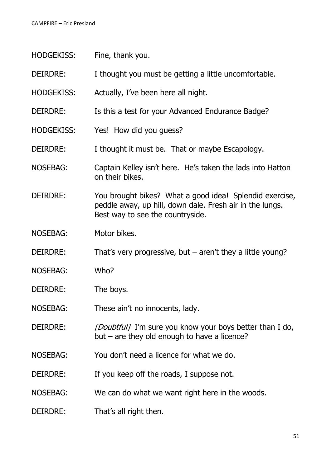| <b>HODGEKISS:</b> | Fine, thank you.                                                                                                                                        |
|-------------------|---------------------------------------------------------------------------------------------------------------------------------------------------------|
| DEIRDRE:          | I thought you must be getting a little uncomfortable.                                                                                                   |
| <b>HODGEKISS:</b> | Actually, I've been here all night.                                                                                                                     |
| DEIRDRE:          | Is this a test for your Advanced Endurance Badge?                                                                                                       |
| <b>HODGEKISS:</b> | Yes! How did you guess?                                                                                                                                 |
| DEIRDRE:          | I thought it must be. That or maybe Escapology.                                                                                                         |
| <b>NOSEBAG:</b>   | Captain Kelley isn't here. He's taken the lads into Hatton<br>on their bikes.                                                                           |
| <b>DEIRDRE:</b>   | You brought bikes? What a good idea! Splendid exercise,<br>peddle away, up hill, down dale. Fresh air in the lungs.<br>Best way to see the countryside. |
| <b>NOSEBAG:</b>   | Motor bikes.                                                                                                                                            |
| DEIRDRE:          | That's very progressive, but $-$ aren't they a little young?                                                                                            |
| <b>NOSEBAG:</b>   | Who?                                                                                                                                                    |
| DEIRDRE:          | The boys.                                                                                                                                               |
| <b>NOSEBAG:</b>   | These ain't no innocents, lady.                                                                                                                         |
| DEIRDRE:          | <i>[Doubtful]</i> I'm sure you know your boys better than I do,<br>but $-$ are they old enough to have a licence?                                       |
| <b>NOSEBAG:</b>   | You don't need a licence for what we do.                                                                                                                |
| DEIRDRE:          | If you keep off the roads, I suppose not.                                                                                                               |
| <b>NOSEBAG:</b>   | We can do what we want right here in the woods.                                                                                                         |
| DEIRDRE:          | That's all right then.                                                                                                                                  |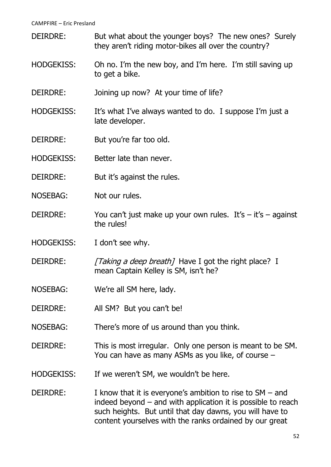- DEIRDRE: But what about the younger boys? The new ones? Surely they aren't riding motor-bikes all over the country?
- HODGEKISS: Oh no. I'm the new boy, and I'm here. I'm still saving up to get a bike.
- DEIRDRE: Joining up now? At your time of life?
- HODGEKISS: It's what I've always wanted to do. I suppose I'm just a late developer.
- DEIRDRE: But you're far too old.
- HODGEKISS: Better late than never.
- DEIRDRE: But it's against the rules.
- NOSEBAG: Not our rules.
- DEIRDRE: You can't just make up your own rules. It's  $-$  it's  $-$  against the rules!
- HODGEKISS: I don't see why.
- DEIRDRE: [Taking a deep breath] Have I got the right place? I mean Captain Kelley is SM, isn't he?
- NOSEBAG: We're all SM here, lady.
- DEIRDRE: All SM? But you can't be!
- NOSEBAG: There's more of us around than you think.
- DEIRDRE: This is most irregular. Only one person is meant to be SM. You can have as many ASMs as you like, of course –
- HODGEKISS: If we weren't SM, we wouldn't be here.
- DEIRDRE: I know that it is everyone's ambition to rise to  $SM and$ indeed beyond – and with application it is possible to reach such heights. But until that day dawns, you will have to content yourselves with the ranks ordained by our great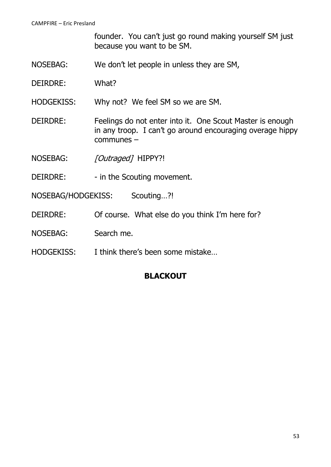founder. You can't just go round making yourself SM just because you want to be SM.

- NOSEBAG: We don't let people in unless they are SM,
- DEIRDRE: What?
- HODGEKISS: Why not? We feel SM so we are SM.
- DEIRDRE: Feelings do not enter into it. One Scout Master is enough in any troop. I can't go around encouraging overage hippy communes –
- NOSEBAG: [Outraged] HIPPY?!
- DEIRDRE: in the Scouting movement.
- NOSEBAG/HODGEKISS: Scouting...?!
- DEIRDRE: Of course. What else do you think I'm here for?
- NOSEBAG: Search me.
- HODGEKISS: I think there's been some mistake…

## **BLACKOUT**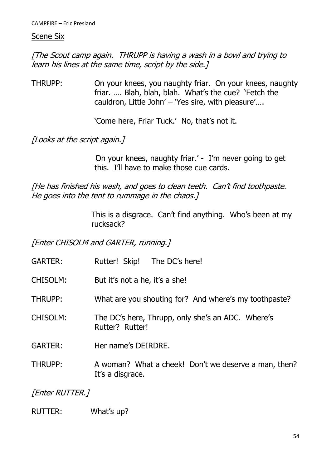#### Scene Six

[The Scout camp again. THRUPP is having a wash in a bowl and trying to learn his lines at the same time, script by the side.]

THRUPP: On your knees, you naughty friar. On your knees, naughty friar. …. Blah, blah, blah. What's the cue? 'Fetch the cauldron, Little John' – 'Yes sire, with pleasure'….

'Come here, Friar Tuck.' No, that's not it.

[Looks at the script again.]

'On your knees, naughty friar.' - I'm never going to get this. I'll have to make those cue cards.

[He has finished his wash, and goes to clean teeth. Can't find toothpaste. He goes into the tent to rummage in the chaos.]

> This is a disgrace. Can't find anything. Who's been at my rucksack?

[Enter CHISOLM and GARTER, running.]

- GARTER: Rutter! Skip! The DC's here!
- CHISOLM: But it's not a he, it's a she!
- THRUPP: What are you shouting for? And where's my toothpaste?
- CHISOLM: The DC's here, Thrupp, only she's an ADC. Where's Rutter? Rutter!
- GARTER: Her name's DEIRDRE.
- THRUPP: A woman? What a cheek! Don't we deserve a man, then? It's a disgrace.

[Enter RUTTER.]

RUTTER: What's up?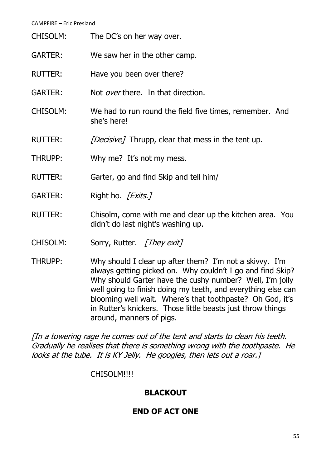| CHISOLM:        | The DC's on her way over.                                                                                                                                                                                                                                                                                                                                                                                                                                                                                                                                                                                                                                                               |
|-----------------|-----------------------------------------------------------------------------------------------------------------------------------------------------------------------------------------------------------------------------------------------------------------------------------------------------------------------------------------------------------------------------------------------------------------------------------------------------------------------------------------------------------------------------------------------------------------------------------------------------------------------------------------------------------------------------------------|
| <b>GARTER:</b>  | We saw her in the other camp.                                                                                                                                                                                                                                                                                                                                                                                                                                                                                                                                                                                                                                                           |
| <b>RUTTER:</b>  | Have you been over there?                                                                                                                                                                                                                                                                                                                                                                                                                                                                                                                                                                                                                                                               |
| <b>GARTER:</b>  | Not <i>over</i> there. In that direction.                                                                                                                                                                                                                                                                                                                                                                                                                                                                                                                                                                                                                                               |
| <b>CHISOLM:</b> | We had to run round the field five times, remember. And<br>she's here!                                                                                                                                                                                                                                                                                                                                                                                                                                                                                                                                                                                                                  |
| <b>RUTTER:</b>  | <i>[Decisive]</i> Thrupp, clear that mess in the tent up.                                                                                                                                                                                                                                                                                                                                                                                                                                                                                                                                                                                                                               |
| THRUPP:         | Why me? It's not my mess.                                                                                                                                                                                                                                                                                                                                                                                                                                                                                                                                                                                                                                                               |
| <b>RUTTER:</b>  | Garter, go and find Skip and tell him/                                                                                                                                                                                                                                                                                                                                                                                                                                                                                                                                                                                                                                                  |
| <b>GARTER:</b>  | Right ho. <i>[Exits.]</i>                                                                                                                                                                                                                                                                                                                                                                                                                                                                                                                                                                                                                                                               |
| <b>RUTTER:</b>  | Chisolm, come with me and clear up the kitchen area. You<br>didn't do last night's washing up.                                                                                                                                                                                                                                                                                                                                                                                                                                                                                                                                                                                          |
| <b>CHISOLM:</b> | Sorry, Rutter. [They exit]                                                                                                                                                                                                                                                                                                                                                                                                                                                                                                                                                                                                                                                              |
| <b>THRUPP:</b>  | Why should I clear up after them? I'm not a skivvy. I'm<br>always getting picked on. Why couldn't I go and find Skip?<br>Why should Garter have the cushy number? Well, I'm jolly<br>well going to finish doing my teeth, and everything else can<br>$\mathsf{block}$ $\mathsf{label}$ $\mathsf{label}$ $\mathsf{label}$ $\mathsf{label}$ $\mathsf{label}$ $\mathsf{label}$ $\mathsf{label}$ $\mathsf{label}$ $\mathsf{label}$ $\mathsf{label}$ $\mathsf{label}$ $\mathsf{label}$ $\mathsf{label}$ $\mathsf{label}$ $\mathsf{label}$ $\mathsf{label}$ $\mathsf{label}$ $\mathsf{label}$ $\mathsf{label}$ $\mathsf{label}$ $\mathsf{label}$ $\mathsf{label}$ $\mathsf{label}$ $\mathsf{$ |

blooming well wait. Where's that toothpaste? Oh God, it's in Rutter's knickers. Those little beasts just throw things around, manners of pigs.

[In a towering rage he comes out of the tent and starts to clean his teeth. Gradually he realises that there is something wrong with the toothpaste. He looks at the tube. It is KY Jelly. He googles, then lets out a roar.]

# CHISOLM!!!!

# **BLACKOUT**

# **END OF ACT ONE**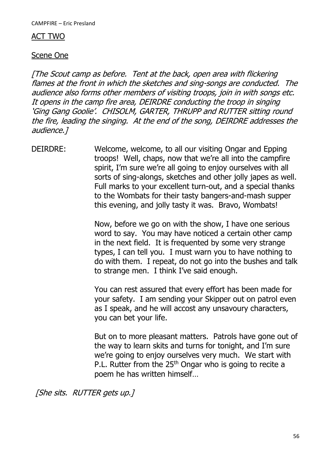### ACT TWO

### Scene One

[The Scout camp as before. Tent at the back, open area with flickering flames at the front in which the sketches and sing-songs are conducted. The audience also forms other members of visiting troops, join in with songs etc. It opens in the camp fire area, DEIRDRE conducting the troop in singing 'Ging Gang Goolie'. CHISOLM, GARTER, THRUPP and RUTTER sitting round the fire, leading the singing. At the end of the song, DEIRDRE addresses the audience.]

DEIRDRE: Welcome, welcome, to all our visiting Ongar and Epping troops! Well, chaps, now that we're all into the campfire spirit, I'm sure we're all going to enjoy ourselves with all sorts of sing-alongs, sketches and other jolly japes as well. Full marks to your excellent turn-out, and a special thanks to the Wombats for their tasty bangers-and-mash supper this evening, and jolly tasty it was. Bravo, Wombats!

> Now, before we go on with the show, I have one serious word to say. You may have noticed a certain other camp in the next field. It is frequented by some very strange types, I can tell you. I must warn you to have nothing to do with them. I repeat, do not go into the bushes and talk to strange men. I think I've said enough.

> You can rest assured that every effort has been made for your safety. I am sending your Skipper out on patrol even as I speak, and he will accost any unsavoury characters, you can bet your life.

> But on to more pleasant matters. Patrols have gone out of the way to learn skits and turns for tonight, and I'm sure we're going to enjoy ourselves very much. We start with P.L. Rutter from the 25<sup>th</sup> Ongar who is going to recite a poem he has written himself…

[She sits. RUTTER gets up.]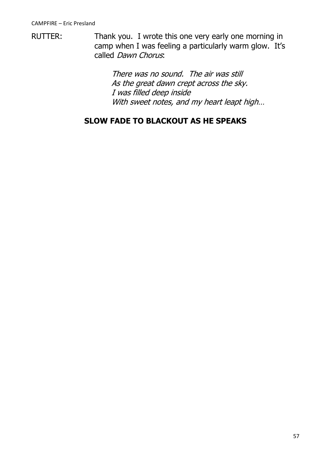RUTTER: Thank you. I wrote this one very early one morning in camp when I was feeling a particularly warm glow. It's called *Dawn Chorus*.

> There was no sound. The air was still As the great dawn crept across the sky. I was filled deep inside With sweet notes, and my heart leapt high...

# **SLOW FADE TO BLACKOUT AS HE SPEAKS**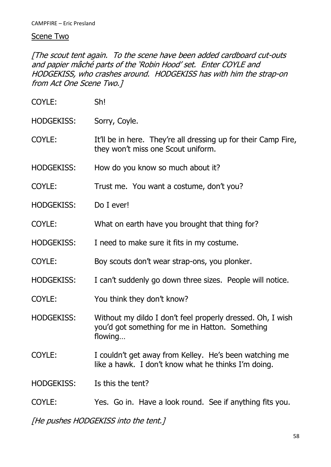## Scene Two

[The scout tent again. To the scene have been added cardboard cut-outs and papier mâché parts of the 'Robin Hood' set. Enter COYLE and HODGEKISS, who crashes around. HODGEKISS has with him the strap-on from Act One Scene Two.]

| COYLE:            | Sh!                                                                                                           |
|-------------------|---------------------------------------------------------------------------------------------------------------|
| <b>HODGEKISS:</b> | Sorry, Coyle.                                                                                                 |
| COYLE:            | It'll be in here. They're all dressing up for their Camp Fire,<br>they won't miss one Scout uniform.          |
| <b>HODGEKISS:</b> | How do you know so much about it?                                                                             |
| COYLE:            | Trust me. You want a costume, don't you?                                                                      |
| <b>HODGEKISS:</b> | Do I ever!                                                                                                    |
| COYLE:            | What on earth have you brought that thing for?                                                                |
| <b>HODGEKISS:</b> | I need to make sure it fits in my costume.                                                                    |
| COYLE:            | Boy scouts don't wear strap-ons, you plonker.                                                                 |
| <b>HODGEKISS:</b> | I can't suddenly go down three sizes. People will notice.                                                     |
| COYLE:            | You think they don't know?                                                                                    |
| <b>HODGEKISS:</b> | Without my dildo I don't feel properly dressed. Oh, I wish<br>you'd got something for me in Hatton. Something |
|                   | flowing                                                                                                       |
| COYLE:            | I couldn't get away from Kelley. He's been watching me<br>like a hawk. I don't know what he thinks I'm doing. |
| <b>HODGEKISS:</b> | Is this the tent?                                                                                             |

[He pushes HODGEKISS into the tent.]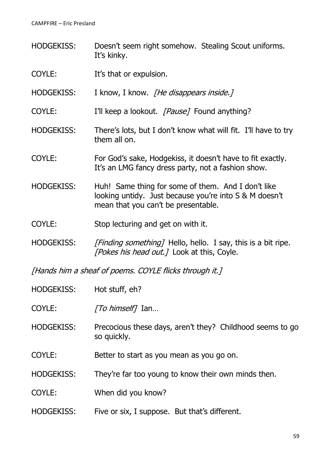- HODGEKISS: Doesn't seem right somehow. Stealing Scout uniforms. It's kinky.
- COYLE: It's that or expulsion.
- HODGEKISS: I know, I know. [He disappears inside.]
- COYLE: I'll keep a lookout. *[Pause]* Found anything?
- HODGEKISS: There's lots, but I don't know what will fit. I'll have to try them all on.
- COYLE: For God's sake, Hodgekiss, it doesn't have to fit exactly. It's an LMG fancy dress party, not a fashion show.
- HODGEKISS: Huh! Same thing for some of them. And I don't like looking untidy. Just because you're into S & M doesn't mean that you can't be presentable.
- COYLE: Stop lecturing and get on with it.
- HODGEKISS: [Finding something] Hello, hello. I say, this is a bit ripe. [Pokes his head out.] Look at this, Coyle.

[Hands him a sheaf of poems. COYLE flicks through it.]

- HODGEKISS: Hot stuff, eh?
- COYLE: [To himself] Ian...
- HODGEKISS: Precocious these days, aren't they? Childhood seems to go so quickly.
- COYLE: Better to start as you mean as you go on.
- HODGEKISS: They're far too young to know their own minds then.
- COYLE: When did you know?
- HODGEKISS: Five or six, I suppose. But that's different.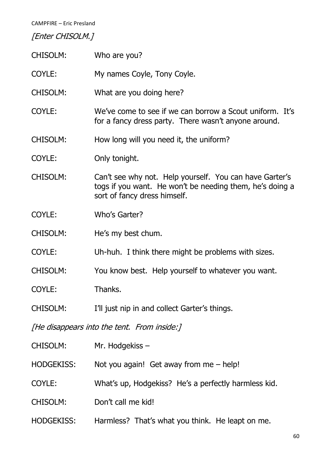# [Enter CHISOLM.]

| <b>CHISOLM:</b>                             | Who are you?                                                                                                                                        |  |  |
|---------------------------------------------|-----------------------------------------------------------------------------------------------------------------------------------------------------|--|--|
| COYLE:                                      | My names Coyle, Tony Coyle.                                                                                                                         |  |  |
| <b>CHISOLM:</b>                             | What are you doing here?                                                                                                                            |  |  |
| COYLE:                                      | We've come to see if we can borrow a Scout uniform. It's<br>for a fancy dress party. There wasn't anyone around.                                    |  |  |
| <b>CHISOLM:</b>                             | How long will you need it, the uniform?                                                                                                             |  |  |
| COYLE:                                      | Only tonight.                                                                                                                                       |  |  |
| <b>CHISOLM:</b>                             | Can't see why not. Help yourself. You can have Garter's<br>togs if you want. He won't be needing them, he's doing a<br>sort of fancy dress himself. |  |  |
| COYLE:                                      | Who's Garter?                                                                                                                                       |  |  |
| <b>CHISOLM:</b>                             | He's my best chum.                                                                                                                                  |  |  |
| COYLE:                                      | Uh-huh. I think there might be problems with sizes.                                                                                                 |  |  |
| <b>CHISOLM:</b>                             | You know best. Help yourself to whatever you want.                                                                                                  |  |  |
| COYLE:                                      | Thanks.                                                                                                                                             |  |  |
| CHISOLM:                                    | I'll just nip in and collect Garter's things.                                                                                                       |  |  |
| [He disappears into the tent. From inside:] |                                                                                                                                                     |  |  |
| CHISOLM:                                    | Mr. Hodgekiss -                                                                                                                                     |  |  |
| <b>HODGEKISS:</b>                           | Not you again! Get away from me $-$ help!                                                                                                           |  |  |
| COYLE:                                      | What's up, Hodgekiss? He's a perfectly harmless kid.                                                                                                |  |  |
| CHISOLM:                                    | Don't call me kid!                                                                                                                                  |  |  |
| <b>HODGEKISS:</b>                           | Harmless? That's what you think. He leapt on me.                                                                                                    |  |  |
|                                             |                                                                                                                                                     |  |  |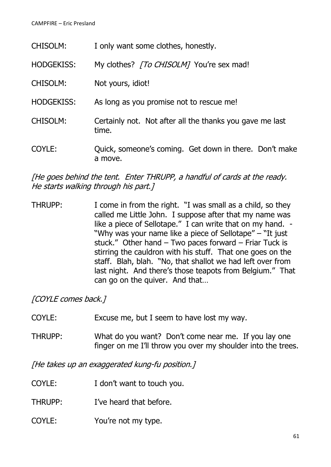| <b>CHISOLM:</b>   | I only want some clothes, honestly.                               |
|-------------------|-------------------------------------------------------------------|
| <b>HODGEKISS:</b> | My clothes? [To CHISOLM] You're sex mad!                          |
| <b>CHISOLM:</b>   | Not yours, idiot!                                                 |
| <b>HODGEKISS:</b> | As long as you promise not to rescue me!                          |
| <b>CHISOLM:</b>   | Certainly not. Not after all the thanks you gave me last<br>time. |
| COYLE:            | Quick, someone's coming. Get down in there. Don't make<br>a move. |

[He goes behind the tent. Enter THRUPP, a handful of cards at the ready. He starts walking through his part.]

THRUPP: I come in from the right. "I was small as a child, so they called me Little John. I suppose after that my name was like a piece of Sellotape." I can write that on my hand. -"Why was your name like a piece of Sellotape" – "It just stuck." Other hand – Two paces forward – Friar Tuck is stirring the cauldron with his stuff. That one goes on the staff. Blah, blah. "No, that shallot we had left over from last night. And there's those teapots from Belgium." That can go on the quiver. And that…

[COYLE comes back.]

- COYLE: Excuse me, but I seem to have lost my way.
- THRUPP: What do you want? Don't come near me. If you lay one finger on me I'll throw you over my shoulder into the trees.

[He takes up an exaggerated kung-fu position.]

- COYLE: I don't want to touch you.
- THRUPP: I've heard that before.
- COYLE: You're not my type.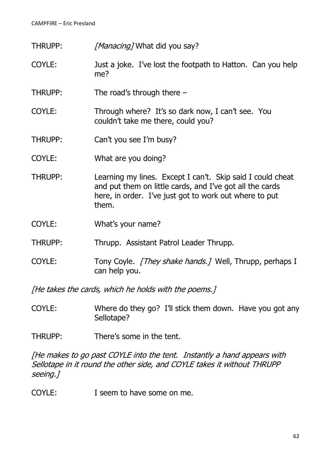THRUPP: [Manacing] What did you say?

- COYLE: Just a joke. I've lost the footpath to Hatton. Can you help me?
- THRUPP: The road's through there  $-$
- COYLE: Through where? It's so dark now, I can't see. You couldn't take me there, could you?
- THRUPP: Can't you see I'm busy?
- COYLE: What are you doing?
- THRUPP: Learning my lines. Except I can't. Skip said I could cheat and put them on little cards, and I've got all the cards here, in order. I've just got to work out where to put them.
- COYLE: What's your name?
- THRUPP: Thrupp. Assistant Patrol Leader Thrupp.
- COYLE: Tony Coyle. [They shake hands.] Well, Thrupp, perhaps I can help you.

[He takes the cards, which he holds with the poems.]

- COYLE: Where do they go? I'll stick them down. Have you got any Sellotape?
- THRUPP: There's some in the tent.

[He makes to go past COYLE into the tent. Instantly a hand appears with Sellotape in it round the other side, and COYLE takes it without THRUPP seeing.]

COYLE: I seem to have some on me.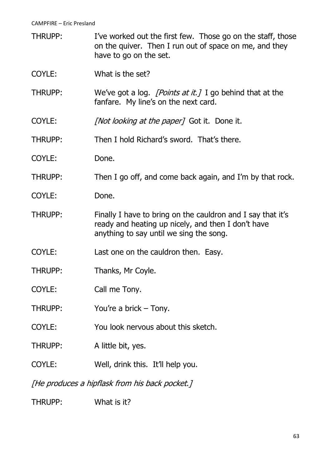- THRUPP: I've worked out the first few. Those go on the staff, those on the quiver. Then I run out of space on me, and they have to go on the set.
- COYLE: What is the set?
- THRUPP: We've got a log. [Points at it.] I go behind that at the fanfare. My line's on the next card.
- COYLE: [Not looking at the paper] Got it. Done it.
- THRUPP: Then I hold Richard's sword. That's there.
- COYLE: Done.
- THRUPP: Then I go off, and come back again, and I'm by that rock.
- COYLE: Done.
- THRUPP: Finally I have to bring on the cauldron and I say that it's ready and heating up nicely, and then I don't have anything to say until we sing the song.
- COYLE: Last one on the cauldron then. Easy.
- THRUPP: Thanks, Mr Coyle.
- COYLE: Call me Tony.
- THRUPP: You're a brick Tony.
- COYLE: You look nervous about this sketch.
- THRUPP: A little bit, yes.
- COYLE: Well, drink this. It'll help you.

[He produces a hipflask from his back pocket.]

THRUPP: What is it?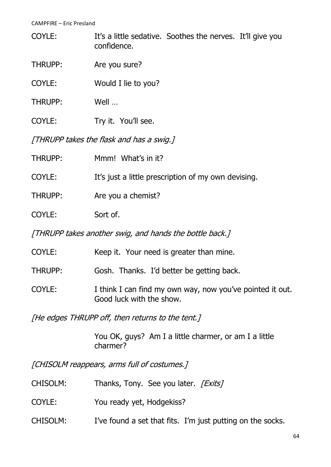COYLE: It's a little sedative. Soothes the nerves. It'll give you confidence.

- THRUPP: Are you sure?
- COYLE: Would I lie to you?
- THRUPP: Well …
- COYLE: Try it. You'll see.

[THRUPP takes the flask and has a swig.]

| <b>THRUPP:</b>                                          | Mmm! What's in it?                                  |  |
|---------------------------------------------------------|-----------------------------------------------------|--|
| COYLE:                                                  | It's just a little prescription of my own devising. |  |
| THRUPP:                                                 | Are you a chemist?                                  |  |
| COYLE:                                                  | Sort of.                                            |  |
| [THRUPP takes another swig, and hands the bottle back.] |                                                     |  |

| COYLE:  | Keep it. Your need is greater than mine.                                              |
|---------|---------------------------------------------------------------------------------------|
| THRUPP: | Gosh. Thanks. I'd better be getting back.                                             |
| COYLE:  | I think I can find my own way, now you've pointed it out.<br>Good luck with the show. |

[He edges THRUPP off, then returns to the tent.]

You OK, guys? Am I a little charmer, or am I a little charmer?

[CHISOLM reappears, arms full of costumes.]

- CHISOLM: Thanks, Tony. See you later. [Exits]
- COYLE: You ready yet, Hodgekiss?
- CHISOLM: I've found a set that fits. I'm just putting on the socks.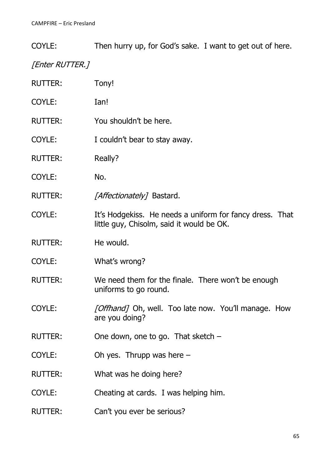COYLE: Then hurry up, for God's sake. I want to get out of here.

# [Enter RUTTER.]

| <b>RUTTER:</b> | Tony!                                                                                                 |
|----------------|-------------------------------------------------------------------------------------------------------|
| COYLE:         | Ian!                                                                                                  |
| <b>RUTTER:</b> | You shouldn't be here.                                                                                |
| COYLE:         | I couldn't bear to stay away.                                                                         |
| <b>RUTTER:</b> | Really?                                                                                               |
| COYLE:         | No.                                                                                                   |
| <b>RUTTER:</b> | [Affectionately] Bastard.                                                                             |
| COYLE:         | It's Hodgekiss. He needs a uniform for fancy dress. That<br>little guy, Chisolm, said it would be OK. |
| <b>RUTTER:</b> | He would.                                                                                             |
| COYLE:         | What's wrong?                                                                                         |
| <b>RUTTER:</b> | We need them for the finale. There won't be enough<br>uniforms to go round.                           |
| <b>COYLE:</b>  | <i>[Offhand]</i> Oh, well. Too late now. You'll manage. How<br>are you doing?                         |
| <b>RUTTER:</b> | One down, one to go. That sketch $-$                                                                  |
| COYLE:         | Oh yes. Thrupp was here $-$                                                                           |
| <b>RUTTER:</b> | What was he doing here?                                                                               |
| COYLE:         | Cheating at cards. I was helping him.                                                                 |
| <b>RUTTER:</b> | Can't you ever be serious?                                                                            |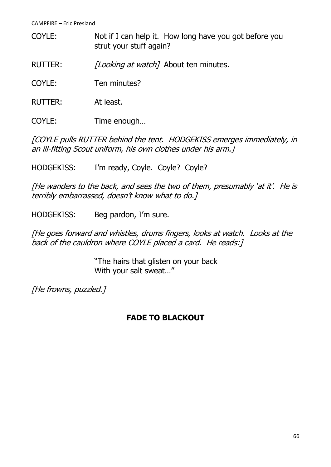COYLE: Not if I can help it. How long have you got before you strut your stuff again?

RUTTER: [Looking at watch] About ten minutes.

COYLE: Ten minutes?

RUTTER: At least.

COYLE: Time enough…

[COYLE pulls RUTTER behind the tent. HODGEKISS emerges immediately, in an ill-fitting Scout uniform, his own clothes under his arm.]

HODGEKISS: I'm ready, Coyle. Coyle? Coyle?

[He wanders to the back, and sees the two of them, presumably 'at it'. He is terribly embarrassed, doesn't know what to do.]

HODGEKISS: Beg pardon, I'm sure.

[He goes forward and whistles, drums fingers, looks at watch. Looks at the back of the cauldron where COYLE placed a card. He reads: [

> "The hairs that glisten on your back With your salt sweat…"

[He frowns, puzzled.]

## **FADE TO BLACKOUT**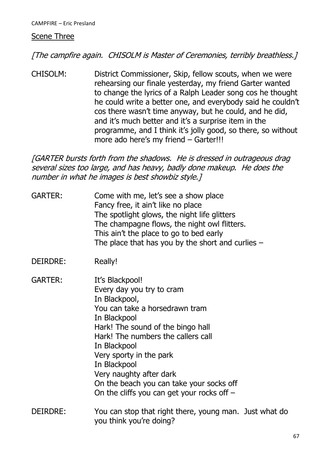#### Scene Three

[The campfire again. CHISOLM is Master of Ceremonies, terribly breathless.]

CHISOLM: District Commissioner, Skip, fellow scouts, when we were rehearsing our finale yesterday, my friend Garter wanted to change the lyrics of a Ralph Leader song cos he thought he could write a better one, and everybody said he couldn't cos there wasn't time anyway, but he could, and he did, and it's much better and it's a surprise item in the programme, and I think it's jolly good, so there, so without more ado here's my friend – Garter!!!

[GARTER bursts forth from the shadows. He is dressed in outrageous drag several sizes too large, and has heavy, badly done makeup. He does the number in what he images is best showbiz style.]

- GARTER: Come with me, let's see a show place Fancy free, it ain't like no place The spotlight glows, the night life glitters The champagne flows, the night owl flitters. This ain't the place to go to bed early The place that has you by the short and curlies  $-$
- DEIRDRE: Really!
- GARTER: It's Blackpool! Every day you try to cram In Blackpool, You can take a horsedrawn tram In Blackpool Hark! The sound of the bingo hall Hark! The numbers the callers call In Blackpool Very sporty in the park In Blackpool Very naughty after dark On the beach you can take your socks off On the cliffs you can get your rocks off –
- DEIRDRE: You can stop that right there, young man. Just what do you think you're doing?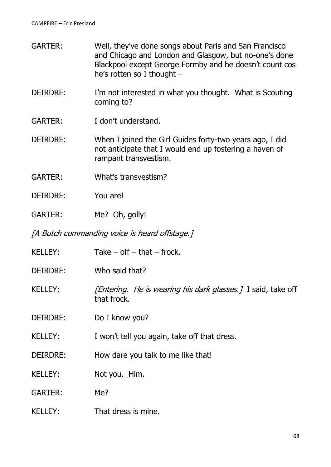- GARTER: Well, they've done songs about Paris and San Francisco and Chicago and London and Glasgow, but no-one's done Blackpool except George Formby and he doesn't count cos he's rotten so I thought –
- DEIRDRE: I'm not interested in what you thought. What is Scouting coming to?
- GARTER: I don't understand.
- DEIRDRE: When I joined the Girl Guides forty-two years ago, I did not anticipate that I would end up fostering a haven of rampant transvestism.
- GARTER: What's transvestism?
- DEIRDRE: You are!
- GARTER: Me? Oh, golly!

[A Butch commanding voice is heard offstage.]

- KELLEY:  $Take off that frock.$
- DEIRDRE: Who said that?
- KELLEY: [*Entering. He is wearing his dark glasses.]* I said, take off that frock.
- DEIRDRE: Do I know you?
- KELLEY: I won't tell you again, take off that dress.
- DEIRDRE: How dare you talk to me like that!
- KELLEY: Not you. Him.
- GARTER: Me?
- KELLEY: That dress is mine.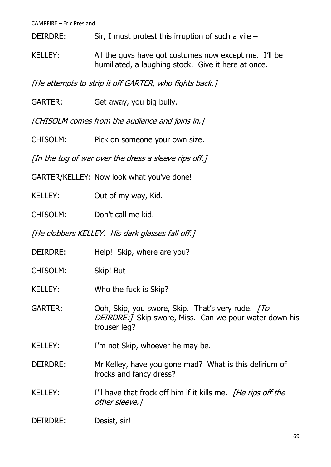DEIRDRE: Sir, I must protest this irruption of such a vile –

KELLEY: All the guys have got costumes now except me. I'll be humiliated, a laughing stock. Give it here at once.

[He attempts to strip it off GARTER, who fights back.]

GARTER: Get away, you big bully.

[CHISOLM comes from the audience and joins in.]

CHISOLM: Pick on someone your own size.

[In the tug of war over the dress a sleeve rips off.]

GARTER/KELLEY: Now look what you've done!

KELLEY: Out of my way, Kid.

CHISOLM: Don't call me kid.

[He clobbers KELLEY. His dark glasses fall off.]

- DEIRDRE: Help! Skip, where are you?
- CHISOLM: Skip! But –
- KELLEY: Who the fuck is Skip?
- GARTER: Ooh, Skip, you swore, Skip. That's very rude. [To DEIRDRE:] Skip swore, Miss. Can we pour water down his trouser leg?
- KELLEY: I'm not Skip, whoever he may be.
- DEIRDRE: Mr Kelley, have you gone mad? What is this delirium of frocks and fancy dress?
- KELLEY: I'll have that frock off him if it kills me. *The rips off the* other sleeve.]

## DEIRDRE: Desist, sir!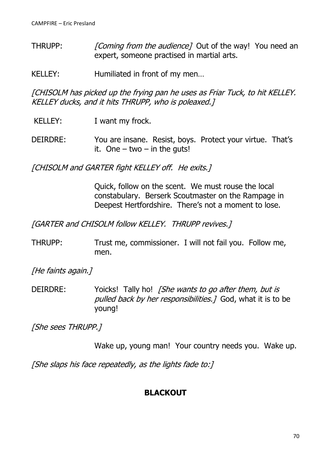- THRUPP: [Coming from the audience] Out of the way! You need an expert, someone practised in martial arts.
- KELLEY: Humiliated in front of my men...

[CHISOLM has picked up the frying pan he uses as Friar Tuck, to hit KELLEY. KELLEY ducks, and it hits THRUPP, who is poleaxed.]

- KELLEY: I want my frock.
- DEIRDRE: You are insane. Resist, boys. Protect your virtue. That's it. One  $-$  two  $-$  in the guts!

[CHISOLM and GARTER fight KELLEY off. He exits.]

Quick, follow on the scent. We must rouse the local constabulary. Berserk Scoutmaster on the Rampage in Deepest Hertfordshire. There's not a moment to lose.

[GARTER and CHISOLM follow KELLEY. THRUPP revives.]

THRUPP: Trust me, commissioner. I will not fail you. Follow me, men.

[He faints again.]

DEIRDRE: Yoicks! Tally ho! *[She wants to go after them, but is* pulled back by her responsibilities. 7 God, what it is to be young!

[She sees THRUPP.]

Wake up, young man! Your country needs you. Wake up.

[She slaps his face repeatedly, as the lights fade to:]

## **BLACKOUT**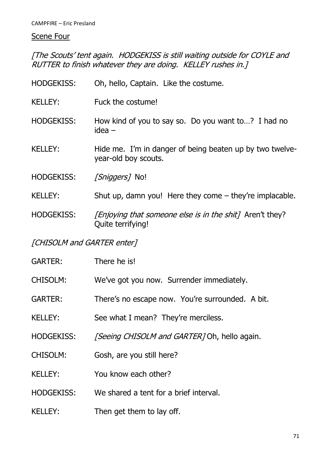# **Scene Four**

[The Scouts' tent again. HODGEKISS is still waiting outside for COYLE and RUTTER to finish whatever they are doing. KELLEY rushes in.]

| <b>HODGEKISS:</b> | Oh, hello, Captain. Like the costume.                                                |
|-------------------|--------------------------------------------------------------------------------------|
| <b>KELLEY:</b>    | Fuck the costume!                                                                    |
| <b>HODGEKISS:</b> | How kind of you to say so. Do you want to? I had no<br>idea –                        |
| <b>KELLEY:</b>    | Hide me. I'm in danger of being beaten up by two twelve-<br>year-old boy scouts.     |
| <b>HODGEKISS:</b> | <i>[Sniggers]</i> No!                                                                |
| <b>KELLEY:</b>    | Shut up, damn you! Here they come $-$ they're implacable.                            |
| <b>HODGEKISS:</b> | <i>[Enjoying that someone else is in the shit]</i> Aren't they?<br>Quite terrifying! |

# [CHISOLM and GARTER enter]

| <b>GARTER:</b>    | There he is!                                        |
|-------------------|-----------------------------------------------------|
| <b>CHISOLM:</b>   | We've got you now. Surrender immediately.           |
| <b>GARTER:</b>    | There's no escape now. You're surrounded. A bit.    |
| <b>KELLEY:</b>    | See what I mean? They're merciless.                 |
| <b>HODGEKISS:</b> | <i>[Seeing CHISOLM and GARTER]</i> Oh, hello again. |
| <b>CHISOLM:</b>   | Gosh, are you still here?                           |
| <b>KELLEY:</b>    | You know each other?                                |
| <b>HODGEKISS:</b> | We shared a tent for a brief interval.              |
| <b>KELLEY:</b>    | Then get them to lay off.                           |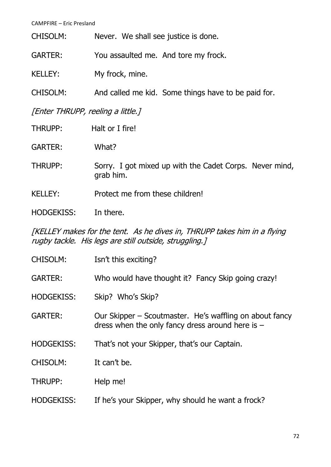| CHISOLM:                          | Never. We shall see justice is done.                |  |
|-----------------------------------|-----------------------------------------------------|--|
| <b>GARTER:</b>                    | You assaulted me. And tore my frock.                |  |
| <b>KELLEY:</b>                    | My frock, mine.                                     |  |
| CHISOLM:                          | And called me kid. Some things have to be paid for. |  |
| [Enter THRUPP, reeling a little.] |                                                     |  |
| THRUPP:                           | Halt or I fire!                                     |  |
| <b>GARTER:</b>                    | What?                                               |  |
|                                   |                                                     |  |

THRUPP: Sorry. I got mixed up with the Cadet Corps. Never mind, grab him.

KELLEY: Protect me from these children!

HODGEKISS: In there.

[KELLEY makes for the tent. As he dives in, THRUPP takes him in a flying rugby tackle. His legs are still outside, struggling.]

| <b>CHISOLM:</b>   | Isn't this exciting?                                                                                          |
|-------------------|---------------------------------------------------------------------------------------------------------------|
| <b>GARTER:</b>    | Who would have thought it? Fancy Skip going crazy!                                                            |
| <b>HODGEKISS:</b> | Skip? Who's Skip?                                                                                             |
| <b>GARTER:</b>    | Our Skipper – Scoutmaster. He's waffling on about fancy<br>dress when the only fancy dress around here is $-$ |
| <b>HODGEKISS:</b> | That's not your Skipper, that's our Captain.                                                                  |
| <b>CHISOLM:</b>   | It can't be.                                                                                                  |
| <b>THRUPP:</b>    | Help me!                                                                                                      |
| <b>HODGEKISS:</b> | If he's your Skipper, why should he want a frock?                                                             |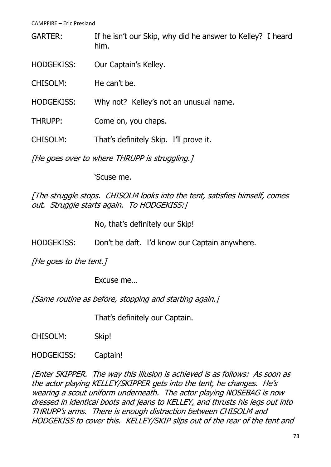GARTER: If he isn't our Skip, why did he answer to Kelley? I heard him.

HODGEKISS: Our Captain's Kelley.

CHISOLM: He can't be.

HODGEKISS: Why not? Kelley's not an unusual name.

THRUPP: Come on, you chaps.

CHISOLM: That's definitely Skip. I'll prove it.

[He goes over to where THRUPP is struggling.]

'Scuse me.

[The struggle stops. CHISOLM looks into the tent, satisfies himself, comes out. Struggle starts again. To HODGEKISS:]

No, that's definitely our Skip!

HODGEKISS: Don't be daft. I'd know our Captain anywhere.

[He goes to the tent.]

Excuse me…

[Same routine as before, stopping and starting again.]

That's definitely our Captain.

CHISOLM: Skip!

HODGEKISS: Captain!

[Enter SKIPPER. The way this illusion is achieved is as follows: As soon as the actor playing KELLEY/SKIPPER gets into the tent, he changes. He's wearing a scout uniform underneath. The actor playing NOSEBAG is now dressed in identical boots and jeans to KELLEY, and thrusts his legs out into THRUPP's arms. There is enough distraction between CHISOLM and HODGEKISS to cover this. KELLEY/SKIP slips out of the rear of the tent and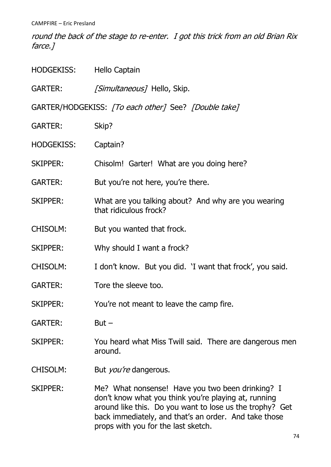round the back of the stage to re-enter. I got this trick from an old Brian Rix farce.]

| HODGEKISS:        | <b>Hello Captain</b>                                                                                                                                                                                                                                                 |  |  |
|-------------------|----------------------------------------------------------------------------------------------------------------------------------------------------------------------------------------------------------------------------------------------------------------------|--|--|
| GARTER:           | [Simultaneous] Hello, Skip.                                                                                                                                                                                                                                          |  |  |
|                   | GARTER/HODGEKISS: [To each other] See? [Double take]                                                                                                                                                                                                                 |  |  |
| <b>GARTER:</b>    | Skip?                                                                                                                                                                                                                                                                |  |  |
| <b>HODGEKISS:</b> | Captain?                                                                                                                                                                                                                                                             |  |  |
| <b>SKIPPER:</b>   | Chisolm! Garter! What are you doing here?                                                                                                                                                                                                                            |  |  |
| <b>GARTER:</b>    | But you're not here, you're there.                                                                                                                                                                                                                                   |  |  |
| <b>SKIPPER:</b>   | What are you talking about? And why are you wearing<br>that ridiculous frock?                                                                                                                                                                                        |  |  |
| <b>CHISOLM:</b>   | But you wanted that frock.                                                                                                                                                                                                                                           |  |  |
| SKIPPER:          | Why should I want a frock?                                                                                                                                                                                                                                           |  |  |
| CHISOLM:          | I don't know. But you did. 'I want that frock', you said.                                                                                                                                                                                                            |  |  |
| <b>GARTER:</b>    | Tore the sleeve too.                                                                                                                                                                                                                                                 |  |  |
| <b>SKIPPER:</b>   | You're not meant to leave the camp fire.                                                                                                                                                                                                                             |  |  |
| <b>GARTER:</b>    | $But -$                                                                                                                                                                                                                                                              |  |  |
| <b>SKIPPER:</b>   | You heard what Miss Twill said. There are dangerous men<br>around.                                                                                                                                                                                                   |  |  |
| CHISOLM:          | But <i>you're</i> dangerous.                                                                                                                                                                                                                                         |  |  |
| SKIPPER:          | Me? What nonsense! Have you two been drinking? I<br>don't know what you think you're playing at, running<br>around like this. Do you want to lose us the trophy? Get<br>back immediately, and that's an order. And take those<br>props with you for the last sketch. |  |  |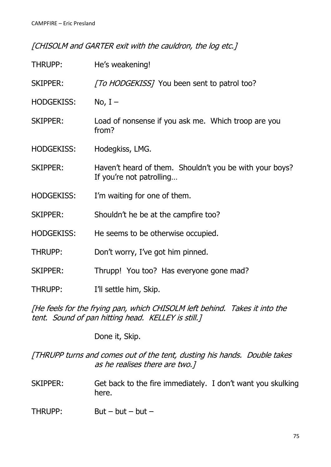[CHISOLM and GARTER exit with the cauldron, the log etc.]

| THRUPP:           | He's weakening!                                                                     |
|-------------------|-------------------------------------------------------------------------------------|
| <b>SKIPPER:</b>   | [To HODGEKISS] You been sent to patrol too?                                         |
| <b>HODGEKISS:</b> | No, $I -$                                                                           |
| <b>SKIPPER:</b>   | Load of nonsense if you ask me. Which troop are you<br>from?                        |
| <b>HODGEKISS:</b> | Hodegkiss, LMG.                                                                     |
| <b>SKIPPER:</b>   | Haven't heard of them. Shouldn't you be with your boys?<br>If you're not patrolling |
| <b>HODGEKISS:</b> | I'm waiting for one of them.                                                        |
| <b>SKIPPER:</b>   | Shouldn't he be at the campfire too?                                                |
| <b>HODGEKISS:</b> | He seems to be otherwise occupied.                                                  |
| THRUPP:           | Don't worry, I've got him pinned.                                                   |
| <b>SKIPPER:</b>   | Thrupp! You too? Has everyone gone mad?                                             |
| THRUPP:           | I'll settle him, Skip.                                                              |

[He feels for the frying pan, which CHISOLM left behind. Takes it into the tent. Sound of pan hitting head. KELLEY is still.]

Done it, Skip.

[THRUPP turns and comes out of the tent, dusting his hands. Double takes as he realises there are two.]

SKIPPER: Get back to the fire immediately. I don't want you skulking here.

THRUPP: But – but – but –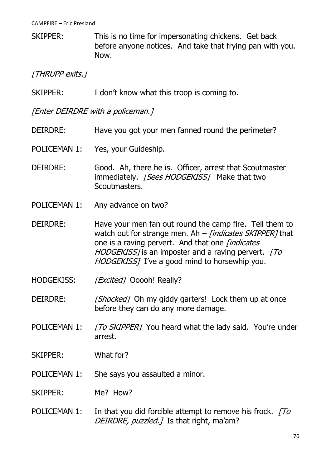SKIPPER: This is no time for impersonating chickens. Get back before anyone notices. And take that frying pan with you. Now.

# [THRUPP exits.]

SKIPPER: I don't know what this troop is coming to.

[Enter DEIRDRE with a policeman.]

- DEIRDRE: Have you got your men fanned round the perimeter?
- POLICEMAN 1: Yes, your Guideship.
- DEIRDRE: Good. Ah, there he is. Officer, arrest that Scoutmaster immediately. [Sees HODGEKISS] Make that two Scoutmasters.
- POLICEMAN 1: Any advance on two?
- DEIRDRE: Have your men fan out round the camp fire. Tell them to watch out for strange men. Ah  $-$  *[indicates SKIPPER]* that one is a raving pervert. And that one *[indicates* HODGEKISS] is an imposter and a raving pervert. [To HODGEKISSI I've a good mind to horsewhip you.
- HODGEKISS: [Excited] Ooooh! Really?
- DEIRDRE: [Shocked] Oh my giddy garters! Lock them up at once before they can do any more damage.
- POLICEMAN 1: [To SKIPPER] You heard what the lady said. You're under arrest.
- SKIPPER: What for?
- POLICEMAN 1: She says you assaulted a minor.
- SKIPPER: Me? How?
- POLICEMAN 1: In that you did forcible attempt to remove his frock.  $\sqrt{7}$ DEIRDRE, puzzled.] Is that right, ma'am?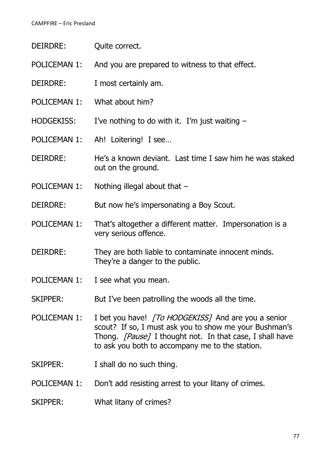| DEIRDRE:          | Quite correct.                                                                         |
|-------------------|----------------------------------------------------------------------------------------|
| POLICEMAN 1:      | And you are prepared to witness to that effect.                                        |
| DEIRDRE:          | I most certainly am.                                                                   |
| POLICEMAN 1:      | What about him?                                                                        |
| <b>HODGEKISS:</b> | I've nothing to do with it. I'm just waiting $-$                                       |
| POLICEMAN 1:      | Ah! Loitering! I see                                                                   |
| DEIRDRE:          | He's a known deviant. Last time I saw him he was staked<br>out on the ground.          |
| POLICEMAN 1:      | Nothing illegal about that $-$                                                         |
| DEIRDRE:          | But now he's impersonating a Boy Scout.                                                |
| POLICEMAN 1:      | That's altogether a different matter. Impersonation is a<br>very serious offence.      |
| DEIRDRE:          | They are both liable to contaminate innocent minds.<br>They're a danger to the public. |
|                   |                                                                                        |

- POLICEMAN 1: I see what you mean.
- SKIPPER: But I've been patrolling the woods all the time.
- POLICEMAN 1: I bet you have! [To HODGEKISS] And are you a senior scout? If so, I must ask you to show me your Bushman's Thong. *[Pause]* I thought not. In that case, I shall have to ask you both to accompany me to the station.
- SKIPPER: I shall do no such thing.
- POLICEMAN 1: Don't add resisting arrest to your litany of crimes.
- SKIPPER: What litany of crimes?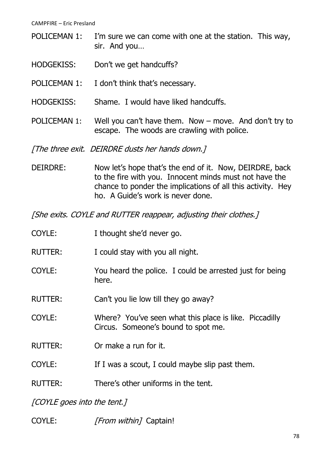- POLICEMAN 1: I'm sure we can come with one at the station. This way, sir. And you…
- HODGEKISS: Don't we get handcuffs?
- POLICEMAN 1: I don't think that's necessary.
- HODGEKISS: Shame. I would have liked handcuffs.
- POLICEMAN 1: Well you can't have them. Now move. And don't try to escape. The woods are crawling with police.

[The three exit. DEIRDRE dusts her hands down.]

DEIRDRE: Now let's hope that's the end of it. Now, DEIRDRE, back to the fire with you. Innocent minds must not have the chance to ponder the implications of all this activity. Hey ho. A Guide's work is never done.

[She exits. COYLE and RUTTER reappear, adjusting their clothes.]

| COYLE:                      | I thought she'd never go.                                                                     |
|-----------------------------|-----------------------------------------------------------------------------------------------|
| <b>RUTTER:</b>              | I could stay with you all night.                                                              |
| COYLE:                      | You heard the police. I could be arrested just for being<br>here.                             |
| <b>RUTTER:</b>              | Can't you lie low till they go away?                                                          |
| COYLE:                      | Where? You've seen what this place is like. Piccadilly<br>Circus. Someone's bound to spot me. |
| <b>RUTTER:</b>              | Or make a run for it.                                                                         |
| COYLE:                      | If I was a scout, I could maybe slip past them.                                               |
| <b>RUTTER:</b>              | There's other uniforms in the tent.                                                           |
| [COYLE goes into the tent.] |                                                                                               |

COYLE: [From within] Captain!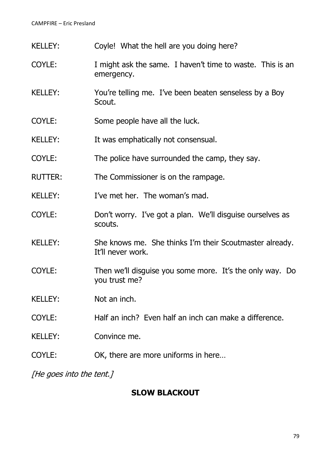| <b>KELLEY:</b> | Coyle! What the hell are you doing here?                                     |
|----------------|------------------------------------------------------------------------------|
| COYLE:         | I might ask the same. I haven't time to waste. This is an<br>emergency.      |
| <b>KELLEY:</b> | You're telling me. I've been beaten senseless by a Boy<br>Scout.             |
| COYLE:         | Some people have all the luck.                                               |
| <b>KELLEY:</b> | It was emphatically not consensual.                                          |
| COYLE:         | The police have surrounded the camp, they say.                               |
| <b>RUTTER:</b> | The Commissioner is on the rampage.                                          |
| <b>KELLEY:</b> | I've met her. The woman's mad.                                               |
| COYLE:         | Don't worry. I've got a plan. We'll disguise ourselves as<br>scouts.         |
| <b>KELLEY:</b> | She knows me. She thinks I'm their Scoutmaster already.<br>It'll never work. |
| COYLE:         | Then we'll disguise you some more. It's the only way. Do<br>you trust me?    |
| <b>KELLEY:</b> | Not an inch.                                                                 |
| COYLE:         | Half an inch? Even half an inch can make a difference.                       |
| <b>KELLEY:</b> | Convince me.                                                                 |
| COYLE:         | OK, there are more uniforms in here                                          |

[He goes into the tent.]

# **SLOW BLACKOUT**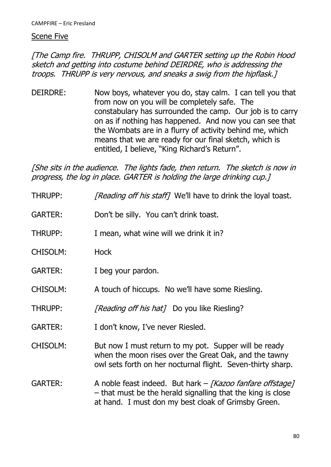### Scene Five

[The Camp fire. THRUPP, CHISOLM and GARTER setting up the Robin Hood sketch and getting into costume behind DEIRDRE, who is addressing the troops. THRUPP is very nervous, and sneaks a swig from the hipflask.]

DEIRDRE: Now boys, whatever you do, stay calm. I can tell you that from now on you will be completely safe. The constabulary has surrounded the camp. Our job is to carry on as if nothing has happened. And now you can see that the Wombats are in a flurry of activity behind me, which means that we are ready for our final sketch, which is entitled, I believe, "King Richard's Return".

[She sits in the audience. The lights fade, then return. The sketch is now in progress, the log in place. GARTER is holding the large drinking cup.]

THRUPP: [Reading off his staff] We'll have to drink the loyal toast. GARTER: Don't be silly. You can't drink toast. THRUPP: I mean, what wine will we drink it in? CHISOLM: Hock GARTER: I beg your pardon. CHISOLM: A touch of hiccups. No we'll have some Riesling. THRUPP: [Reading off his hat] Do you like Riesling? GARTER: I don't know, I've never Riesled. CHISOLM: But now I must return to my pot. Supper will be ready when the moon rises over the Great Oak, and the tawny owl sets forth on her nocturnal flight. Seven-thirty sharp. GARTER: A noble feast indeed. But hark – [Kazoo fanfare offstage] – that must be the herald signalling that the king is close at hand. I must don my best cloak of Grimsby Green.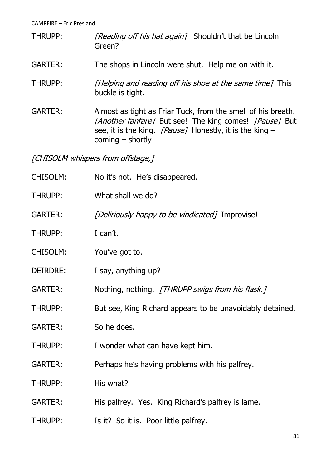- THRUPP: [Reading off his hat again] Shouldn't that be Lincoln Green?
- GARTER: The shops in Lincoln were shut. Help me on with it.
- THRUPP: [Helping and reading off his shoe at the same time] This buckle is tight.
- GARTER: Almost as tight as Friar Tuck, from the smell of his breath. [Another fanfare] But see! The king comes! [Pause] But see, it is the king.  $[Pause]$  Honestly, it is the king – coming – shortly

[CHISOLM whispers from offstage,]

| <b>CHISOLM:</b> | No it's not. He's disappeared.                            |
|-----------------|-----------------------------------------------------------|
| THRUPP:         | What shall we do?                                         |
| <b>GARTER:</b>  | [Deliriously happy to be vindicated] Improvise!           |
| THRUPP:         | I can't.                                                  |
| CHISOLM:        | You've got to.                                            |
| DEIRDRE:        | I say, anything up?                                       |
| <b>GARTER:</b>  | Nothing, nothing. [THRUPP swigs from his flask.]          |
| THRUPP:         | But see, King Richard appears to be unavoidably detained. |
| <b>GARTER:</b>  | So he does.                                               |
| THRUPP:         | I wonder what can have kept him.                          |
| <b>GARTER:</b>  | Perhaps he's having problems with his palfrey.            |
| THRUPP:         | His what?                                                 |
| <b>GARTER:</b>  | His palfrey. Yes. King Richard's palfrey is lame.         |
| THRUPP:         | Is it? So it is. Poor little palfrey.                     |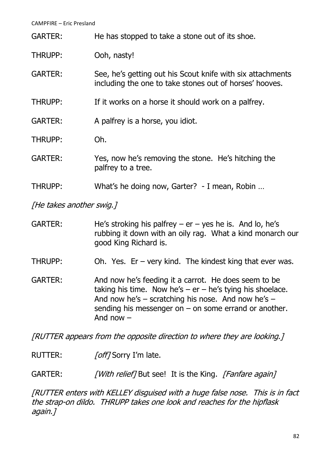GARTER: He has stopped to take a stone out of its shoe.

- THRUPP: Ooh, nasty!
- GARTER: See, he's getting out his Scout knife with six attachments including the one to take stones out of horses' hooves.
- THRUPP: If it works on a horse it should work on a palfrey.

GARTER: A palfrey is a horse, you idiot.

- THRUPP: Oh.
- GARTER: Yes, now he's removing the stone. He's hitching the palfrey to a tree.
- THRUPP: What's he doing now, Garter? I mean, Robin …

[He takes another swig.]

- GARTER: He's stroking his palfrey  $er yes$  he is. And lo, he's rubbing it down with an oily rag. What a kind monarch our good King Richard is.
- THRUPP: Oh. Yes. Er very kind. The kindest king that ever was.
- GARTER: And now he's feeding it a carrot. He does seem to be taking his time. Now he's –  $er - he's$  tying his shoelace. And now he's  $-$  scratching his nose. And now he's  $$ sending his messenger on – on some errand or another. And now –

[RUTTER appears from the opposite direction to where they are looking.]

RUTTER: [off] Sorry I'm late.

GARTER: [With relief] But see! It is the King. [Fanfare again]

[RUTTER enters with KELLEY disguised with a huge false nose. This is in fact the strap-on dildo. THRUPP takes one look and reaches for the hipflask again.]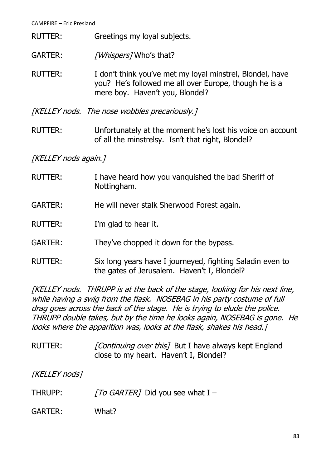- RUTTER: Greetings my loyal subjects.
- GARTER: [Whispers] Who's that?
- RUTTER: I don't think you've met my loyal minstrel, Blondel, have you? He's followed me all over Europe, though he is a mere boy. Haven't you, Blondel?

[KELLEY nods. The nose wobbles precariously.]

RUTTER: Unfortunately at the moment he's lost his voice on account of all the minstrelsy. Isn't that right, Blondel?

# [KELLEY nods again.]

- RUTTER: I have heard how you vanquished the bad Sheriff of Nottingham.
- GARTER: He will never stalk Sherwood Forest again.
- RUTTER: I'm glad to hear it.
- GARTER: They've chopped it down for the bypass.
- RUTTER: Six long years have I journeyed, fighting Saladin even to the gates of Jerusalem. Haven't I, Blondel?

[KELLEY nods. THRUPP is at the back of the stage, looking for his next line, while having a swig from the flask. NOSEBAG in his party costume of full drag goes across the back of the stage. He is trying to elude the police. THRUPP double takes, but by the time he looks again, NOSEBAG is gone. He looks where the apparition was, looks at the flask, shakes his head.]

RUTTER: [Continuing over this] But I have always kept England close to my heart. Haven't I, Blondel?

[KELLEY nods]

- THRUPP:  $\sqrt{TO}$  GARTER] Did you see what I –
- GARTER: What?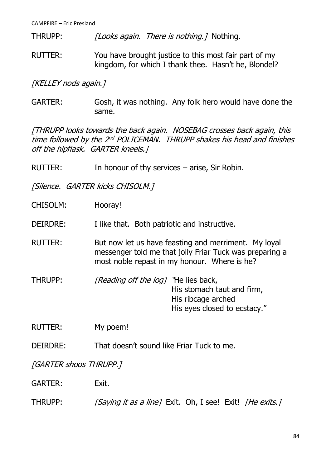THRUPP: [Looks again. There is nothing.] Nothing.

RUTTER: You have brought justice to this most fair part of my kingdom, for which I thank thee. Hasn't he, Blondel?

[KELLEY nods again.]

GARTER: Gosh, it was nothing. Any folk hero would have done the same.

[THRUPP looks towards the back again. NOSEBAG crosses back again, this time followed by the 2<sup>nd</sup> POLICEMAN. THRUPP shakes his head and finishes off the hipflask. GARTER kneels.]

RUTTER: In honour of thy services – arise, Sir Robin.

[Silence. GARTER kicks CHISOLM.]

CHISOLM: Hooray!

DEIRDRE: I like that. Both patriotic and instructive.

- RUTTER: But now let us have feasting and merriment. My loyal messenger told me that jolly Friar Tuck was preparing a most noble repast in my honour. Where is he?
- THRUPP: [Reading off the log] The lies back, His stomach taut and firm, His ribcage arched His eyes closed to ecstacy."

RUTTER: My poem!

DEIRDRE: That doesn't sound like Friar Tuck to me.

[GARTER shoos THRUPP.]

GARTER: Exit.

THRUPP: [Saying it as a line] Exit. Oh, I see! Exit! [He exits.]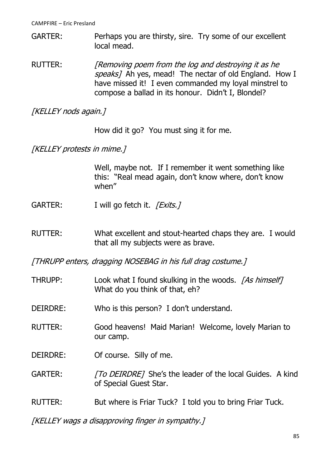GARTER: Perhaps you are thirsty, sire. Try some of our excellent local mead.

RUTTER: [Removing poem from the log and destroying it as he speaks] Ah yes, mead! The nectar of old England. How I have missed it! I even commanded my loyal minstrel to compose a ballad in its honour. Didn't I, Blondel?

[KELLEY nods again.]

How did it go? You must sing it for me.

[KELLEY protests in mime.]

Well, maybe not. If I remember it went something like this: "Real mead again, don't know where, don't know when"

- GARTER: I will go fetch it. [Exits.]
- RUTTER: What excellent and stout-hearted chaps they are. I would that all my subjects were as brave.

[THRUPP enters, dragging NOSEBAG in his full drag costume.]

- THRUPP: Look what I found skulking in the woods. [As himself] What do you think of that, eh?
- DEIRDRE: Who is this person? I don't understand.
- RUTTER: Good heavens! Maid Marian! Welcome, lovely Marian to our camp.
- DEIRDRE: Of course. Silly of me.
- GARTER: [To DEIRDRE] She's the leader of the local Guides. A kind of Special Guest Star.
- RUTTER: But where is Friar Tuck? I told you to bring Friar Tuck.

[KELLEY wags a disapproving finger in sympathy.]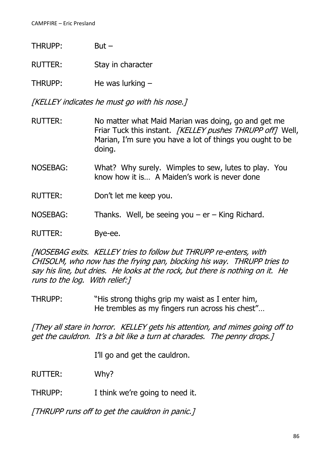| THRUPP: | $But -$            |
|---------|--------------------|
| RUTTER: | Stay in character  |
| THRUPP: | He was lurking $-$ |

[KELLEY indicates he must go with his nose.]

- RUTTER: No matter what Maid Marian was doing, go and get me Friar Tuck this instant. [KELLEY pushes THRUPP off] Well, Marian, I'm sure you have a lot of things you ought to be doing.
- NOSEBAG: What? Why surely. Wimples to sew, lutes to play. You know how it is… A Maiden's work is never done
- RUTTER: Don't let me keep you.
- NOSEBAG: Thanks. Well, be seeing you  $er King Richard$ .
- RUTTER: Bye-ee.

[NOSEBAG exits. KELLEY tries to follow but THRUPP re-enters, with CHISOLM, who now has the frying pan, blocking his way. THRUPP tries to say his line, but dries. He looks at the rock, but there is nothing on it. He runs to the log. With relief:]

THRUPP: "His strong thighs grip my waist as I enter him, He trembles as my fingers run across his chest"…

[They all stare in horror. KELLEY gets his attention, and mimes going off to get the cauldron. It's a bit like a turn at charades. The penny drops.]

I'll go and get the cauldron.

RUTTER: Why?

THRUPP: I think we're going to need it.

[THRUPP runs off to get the cauldron in panic.]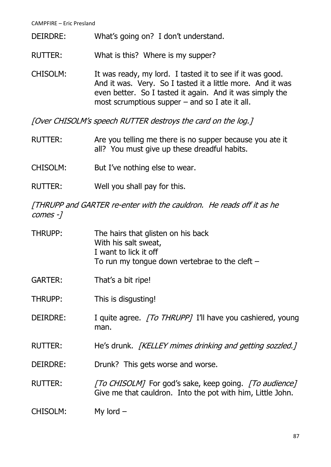- DEIRDRE: What's going on? I don't understand.
- RUTTER: What is this? Where is my supper?

CHISOLM: It was ready, my lord. I tasted it to see if it was good. And it was. Very. So I tasted it a little more. And it was even better. So I tasted it again. And it was simply the most scrumptious supper – and so I ate it all.

[Over CHISOLM's speech RUTTER destroys the card on the log.]

- RUTTER: Are you telling me there is no supper because you ate it all? You must give up these dreadful habits.
- CHISOLM: But I've nothing else to wear.
- RUTTER: Well you shall pay for this.

[THRUPP and GARTER re-enter with the cauldron. He reads off it as he comes -]

THRUPP: The hairs that glisten on his back With his salt sweat, I want to lick it off To run my tongue down vertebrae to the cleft – GARTER: That's a bit ripe! THRUPP: This is disgusting! DEIRDRE: I quite agree. [To THRUPP] I'll have you cashiered, young man. RUTTER: He's drunk. [KELLEY mimes drinking and getting sozzled.] DEIRDRE: Drunk? This gets worse and worse. RUTTER: [To CHISOLM] For god's sake, keep going. [To audience] Give me that cauldron. Into the pot with him, Little John. CHISOLM: My lord –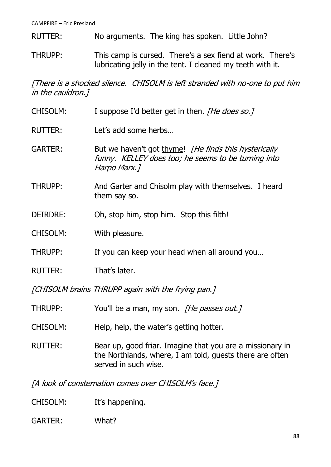- RUTTER: No arguments. The king has spoken. Little John?
- THRUPP: This camp is cursed. There's a sex fiend at work. There's lubricating jelly in the tent. I cleaned my teeth with it.

[There is a shocked silence. CHISOLM is left stranded with no-one to put him in the cauldron.]

- CHISOLM: I suppose I'd better get in then. [He does so.]
- RUTTER: Let's add some herbs…
- GARTER: But we haven't got thyme! *[He finds this hysterically* funny. KELLEY does too; he seems to be turning into Harpo Marx.]
- THRUPP: And Garter and Chisolm play with themselves. I heard them say so.
- DEIRDRE: Oh, stop him, stop him. Stop this filth!
- CHISOLM: With pleasure.
- THRUPP: If you can keep your head when all around you…
- RUTTER: That's later.

[CHISOLM brains THRUPP again with the frying pan.]

- THRUPP: You'll be a man, my son. *[He passes out.]*
- CHISOLM: Help, help, the water's getting hotter.
- RUTTER: Bear up, good friar. Imagine that you are a missionary in the Northlands, where, I am told, guests there are often served in such wise.

[A look of consternation comes over CHISOLM's face.]

CHISOLM: It's happening.

### GARTER: What?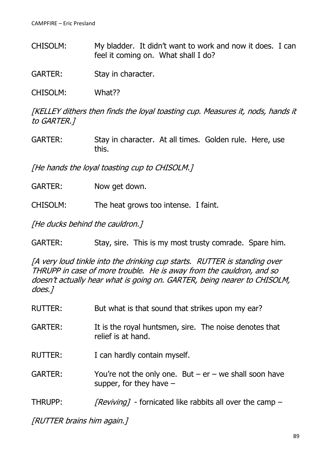CHISOLM: My bladder. It didn't want to work and now it does. I can feel it coming on. What shall I do?

GARTER: Stay in character.

CHISOLM: What??

[KELLEY dithers then finds the loyal toasting cup. Measures it, nods, hands it to GARTER.]

GARTER: Stay in character. At all times. Golden rule. Here, use this.

[He hands the loyal toasting cup to CHISOLM.]

- GARTER: Now get down.
- CHISOLM: The heat grows too intense. I faint.

[He ducks behind the cauldron.]

GARTER: Stay, sire. This is my most trusty comrade. Spare him.

[A very loud tinkle into the drinking cup starts. RUTTER is standing over THRUPP in case of more trouble. He is away from the cauldron, and so doesn't actually hear what is going on. GARTER, being nearer to CHISOLM, does.]

| <b>RUTTER:</b> | But what is that sound that strikes upon my ear?                                        |
|----------------|-----------------------------------------------------------------------------------------|
| <b>GARTER:</b> | It is the royal huntsmen, sire. The noise denotes that<br>relief is at hand.            |
| <b>RUTTER:</b> | I can hardly contain myself.                                                            |
| GARTER:        | You're not the only one. But $-$ er $-$ we shall soon have<br>supper, for they have $-$ |
| THRUPP:        | <i>[Reviving]</i> - fornicated like rabbits all over the camp –                         |

[RUTTER brains him again.]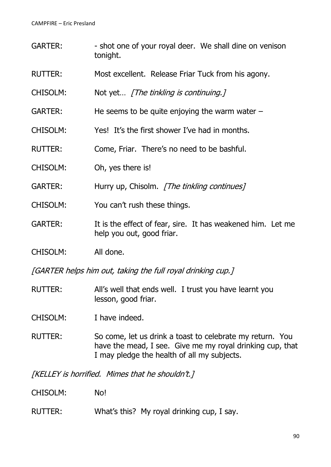- GARTER: shot one of your royal deer. We shall dine on venison tonight.
- RUTTER: Most excellent. Release Friar Tuck from his agony.
- CHISOLM: Not yet... [The tinkling is continuing.]
- GARTER: He seems to be quite enjoying the warm water –
- CHISOLM: Yes! It's the first shower I've had in months.
- RUTTER: Come, Friar. There's no need to be bashful.
- CHISOLM: Oh, yes there is!
- GARTER: Hurry up, Chisolm. *[The tinkling continues]*
- CHISOLM: You can't rush these things.
- GARTER: It is the effect of fear, sire. It has weakened him. Let me help you out, good friar.
- CHISOLM: All done.

[GARTER helps him out, taking the full royal drinking cup.]

RUTTER: All's well that ends well. I trust you have learnt you lesson, good friar.

CHISOLM: I have indeed.

RUTTER: So come, let us drink a toast to celebrate my return. You have the mead, I see. Give me my royal drinking cup, that I may pledge the health of all my subjects.

[KELLEY is horrified. Mimes that he shouldn't.]

- CHISOLM: No!
- RUTTER: What's this? My royal drinking cup, I say.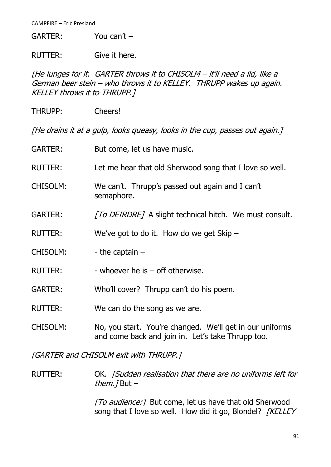GARTER: You can't –

RUTTER: Give it here.

[He lunges for it. GARTER throws it to CHISOLM – it'll need a lid, like a German beer stein – who throws it to KELLEY. THRUPP wakes up again. KELLEY throws it to THRUPP.]

THRUPP: Cheers!

[He drains it at a gulp, looks queasy, looks in the cup, passes out again.]

| <b>GARTER:</b>  | But come, let us have music.                                                                                  |
|-----------------|---------------------------------------------------------------------------------------------------------------|
| <b>RUTTER:</b>  | Let me hear that old Sherwood song that I love so well.                                                       |
| <b>CHISOLM:</b> | We can't. Thrupp's passed out again and I can't<br>semaphore.                                                 |
| <b>GARTER:</b>  | <i>[To DEIRDRE]</i> A slight technical hitch. We must consult.                                                |
| <b>RUTTER:</b>  | We've got to do it. How do we get Skip $-$                                                                    |
| <b>CHISOLM:</b> | - the captain $-$                                                                                             |
| <b>RUTTER:</b>  | - whoever he is $-$ off otherwise.                                                                            |
| <b>GARTER:</b>  | Who'll cover? Thrupp can't do his poem.                                                                       |
| <b>RUTTER:</b>  | We can do the song as we are.                                                                                 |
| <b>CHISOLM:</b> | No, you start. You're changed. We'll get in our uniforms<br>and come back and join in. Let's take Thrupp too. |

[GARTER and CHISOLM exit with THRUPP.]

RUTTER: OK. *[Sudden realisation that there are no uniforms left for* them.  $7$  But  $-$ 

> [To audience: ] But come, let us have that old Sherwood song that I love so well. How did it go, Blondel? [KELLEY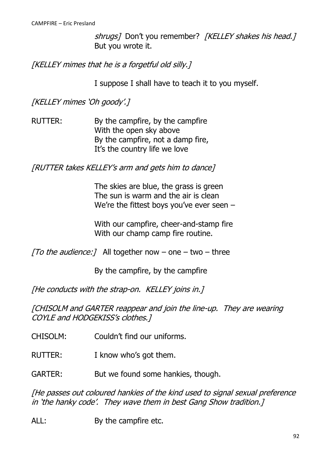shrugs] Don't you remember? [KELLEY shakes his head.] But you wrote it.

[KELLEY mimes that he is a forgetful old silly.]

I suppose I shall have to teach it to you myself.

[KELLEY mimes 'Oh goody'.]

RUTTER: By the campfire, by the campfire With the open sky above By the campfire, not a damp fire, It's the country life we love

[RUTTER takes KELLEY's arm and gets him to dance]

The skies are blue, the grass is green The sun is warm and the air is clean We're the fittest boys you've ever seen –

With our campfire, cheer-and-stamp fire With our champ camp fire routine.

[To the audience: ] All together now  $-$  one  $-$  two  $-$  three

By the campfire, by the campfire

[He conducts with the strap-on. KELLEY joins in.]

[CHISOLM and GARTER reappear and join the line-up. They are wearing COYLE and HODGEKISS's clothes.]

- CHISOLM: Couldn't find our uniforms.
- RUTTER: I know who's got them.

GARTER: But we found some hankies, though.

[He passes out coloured hankies of the kind used to signal sexual preference in 'the hanky code'. They wave them in best Gang Show tradition.]

ALL: By the campfire etc.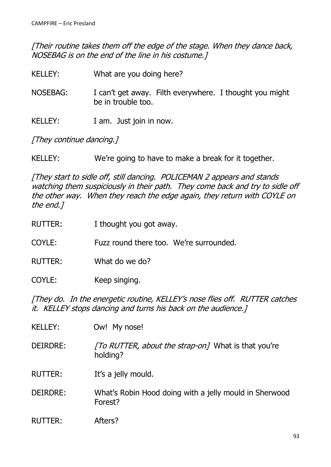[Their routine takes them off the edge of the stage. When they dance back, NOSEBAG is on the end of the line in his costume.]

- KELLEY: What are you doing here?
- NOSEBAG: I can't get away. Filth everywhere. I thought you might be in trouble too.
- KELLEY: I am. Just join in now.

[They continue dancing.]

KELLEY: We're going to have to make a break for it together.

[They start to sidle off, still dancing. POLICEMAN 2 appears and stands watching them suspiciously in their path. They come back and try to sidle off the other way. When they reach the edge again, they return with COYLE on the end.]

RUTTER: I thought you got away.

COYLE: Fuzz round there too. We're surrounded.

- RUTTER: What do we do?
- COYLE: Keep singing.

[They do. In the energetic routine, KELLEY's nose flies off. RUTTER catches it. KELLEY stops dancing and turns his back on the audience.]

KELLEY: Ow! My nose! DEIRDRE: [To RUTTER, about the strap-on] What is that you're holding? RUTTER: It's a jelly mould. DEIRDRE: What's Robin Hood doing with a jelly mould in Sherwood Forest? RUTTER: Afters?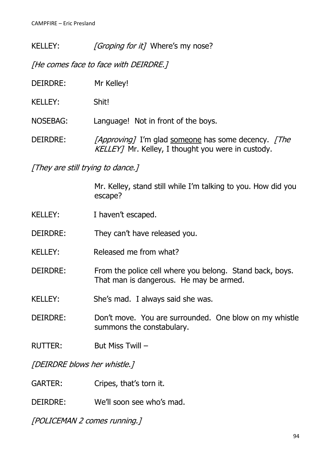KELLEY: [Groping for it] Where's my nose?

[He comes face to face with DEIRDRE.]

| DEIRDRE:       | Mr Kelley!                                                                                                |
|----------------|-----------------------------------------------------------------------------------------------------------|
| <b>KELLEY:</b> | Shit!                                                                                                     |
| NOSEBAG:       | Language! Not in front of the boys.                                                                       |
| DEIRDRE:       | [Approving] I'm glad someone has some decency. [The<br>KELLEY] Mr. Kelley, I thought you were in custody. |

[They are still trying to dance.]

Mr. Kelley, stand still while I'm talking to you. How did you escape?

- KELLEY: I haven't escaped.
- DEIRDRE: They can't have released you.
- KELLEY: Released me from what?
- DEIRDRE: From the police cell where you belong. Stand back, boys. That man is dangerous. He may be armed.
- KELLEY: She's mad. I always said she was.
- DEIRDRE: Don't move. You are surrounded. One blow on my whistle summons the constabulary.
- RUTTER: But Miss Twill –

[DEIRDRE blows her whistle.]

GARTER: Cripes, that's torn it.

DEIRDRE: We'll soon see who's mad.

[POLICEMAN 2 comes running.]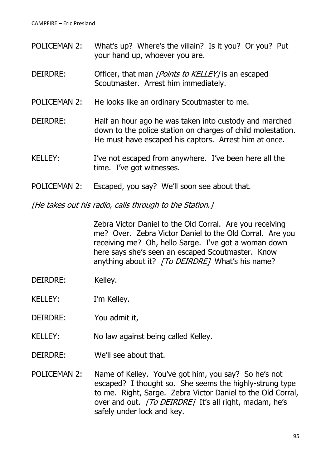- POLICEMAN 2: What's up? Where's the villain? Is it you? Or you? Put your hand up, whoever you are.
- DEIRDRE: Officer, that man *[Points to KELLEY]* is an escaped Scoutmaster. Arrest him immediately.
- POLICEMAN 2: He looks like an ordinary Scoutmaster to me.
- DEIRDRE: Half an hour ago he was taken into custody and marched down to the police station on charges of child molestation. He must have escaped his captors. Arrest him at once.
- KELLEY: I've not escaped from anywhere. I've been here all the time. I've got witnesses.
- POLICEMAN 2: Escaped, you say? We'll soon see about that.

[He takes out his radio, calls through to the Station.]

Zebra Victor Daniel to the Old Corral. Are you receiving me? Over. Zebra Victor Daniel to the Old Corral. Are you receiving me? Oh, hello Sarge. I've got a woman down here says she's seen an escaped Scoutmaster. Know anything about it? [To DEIRDRE] What's his name?

- DEIRDRE: Kelley.
- KELLEY: I'm Kelley.
- DEIRDRE: You admit it,
- KELLEY: No law against being called Kelley.
- DEIRDRE: We'll see about that.
- POLICEMAN 2: Name of Kelley. You've got him, you say? So he's not escaped? I thought so. She seems the highly-strung type to me. Right, Sarge. Zebra Victor Daniel to the Old Corral, over and out. [To DEIRDRE] It's all right, madam, he's safely under lock and key.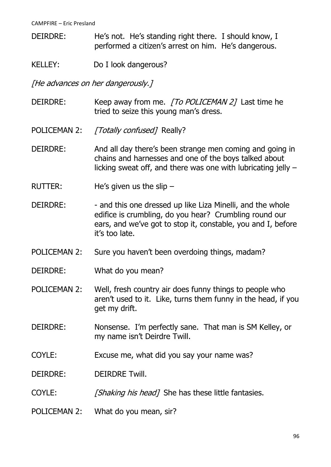- DEIRDRE: He's not. He's standing right there. I should know, I performed a citizen's arrest on him. He's dangerous.
- KELLEY: Do I look dangerous?

[He advances on her dangerously.]

- DEIRDRE: Keep away from me. [To POLICEMAN 2] Last time he tried to seize this young man's dress.
- POLICEMAN 2: [Totally confused] Really?
- DEIRDRE: And all day there's been strange men coming and going in chains and harnesses and one of the boys talked about licking sweat off, and there was one with lubricating jelly –
- RUTTER: He's given us the slip –
- DEIRDRE: and this one dressed up like Liza Minelli, and the whole edifice is crumbling, do you hear? Crumbling round our ears, and we've got to stop it, constable, you and I, before it's too late.
- POLICEMAN 2: Sure you haven't been overdoing things, madam?
- DEIRDRE: What do you mean?
- POLICEMAN 2: Well, fresh country air does funny things to people who aren't used to it. Like, turns them funny in the head, if you get my drift.
- DEIRDRE: Nonsense. I'm perfectly sane. That man is SM Kelley, or my name isn't Deirdre Twill.
- COYLE: Excuse me, what did you say your name was?

DEIRDRE: DEIRDRE Twill.

- COYLE: [Shaking his head] She has these little fantasies.
- POLICEMAN 2: What do you mean, sir?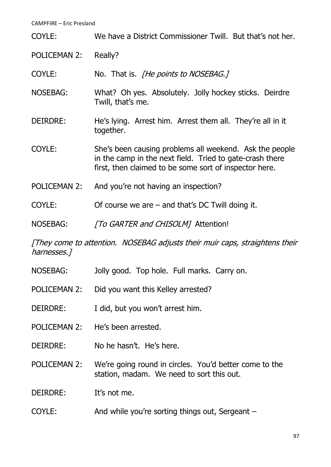| COYLE:              | We have a District Commissioner Twill. But that's not her.                                                                                                                    |
|---------------------|-------------------------------------------------------------------------------------------------------------------------------------------------------------------------------|
| <b>POLICEMAN 2:</b> | Really?                                                                                                                                                                       |
| <b>COYLE:</b>       | No. That is. <i>The points to NOSEBAG.</i> 7                                                                                                                                  |
| <b>NOSEBAG:</b>     | What? Oh yes. Absolutely. Jolly hockey sticks. Deirdre<br>Twill, that's me.                                                                                                   |
| <b>DEIRDRE:</b>     | He's lying. Arrest him. Arrest them all. They're all in it<br>together.                                                                                                       |
| COYLE:              | She's been causing problems all weekend. Ask the people<br>in the camp in the next field. Tried to gate-crash there<br>first, then claimed to be some sort of inspector here. |
| <b>POLICEMAN 2:</b> | And you're not having an inspection?                                                                                                                                          |
| COYLE:              | Of course we are $-$ and that's DC Twill doing it.                                                                                                                            |
| <b>NOSEBAG:</b>     | [To GARTER and CHISOLM] Attention!                                                                                                                                            |

[They come to attention. NOSEBAG adjusts their muir caps, straightens their harnesses.]

- NOSEBAG: Jolly good. Top hole. Full marks. Carry on.
- POLICEMAN 2: Did you want this Kelley arrested?
- DEIRDRE: I did, but you won't arrest him.
- POLICEMAN 2: He's been arrested.
- DEIRDRE: No he hasn't. He's here.
- POLICEMAN 2: We're going round in circles. You'd better come to the station, madam. We need to sort this out.

DEIRDRE: It's not me.

COYLE: And while you're sorting things out, Sergeant –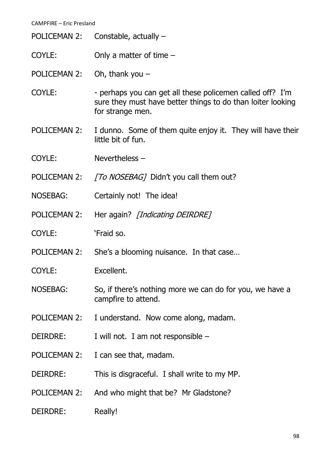- POLICEMAN 2: Constable, actually –
- COYLE: Only a matter of time –
- POLICEMAN 2: Oh, thank you –
- COYLE: perhaps you can get all these policemen called off? I'm sure they must have better things to do than loiter looking for strange men.
- POLICEMAN 2: I dunno. Some of them quite enjoy it. They will have their little bit of fun.
- COYLE: Nevertheless –
- POLICEMAN 2: [To NOSEBAG] Didn't you call them out?
- NOSEBAG: Certainly not! The idea!
- POLICEMAN 2: Her again? [Indicating DEIRDRE]
- COYLE: 'Fraid so.
- POLICEMAN 2: She's a blooming nuisance. In that case…
- COYLE: Excellent.
- NOSEBAG: So, if there's nothing more we can do for you, we have a campfire to attend.
- POLICEMAN 2: I understand. Now come along, madam.
- DEIRDRE: I will not. I am not responsible –
- POLICEMAN 2: I can see that, madam.
- DEIRDRE: This is disgraceful. I shall write to my MP.
- POLICEMAN 2: And who might that be? Mr Gladstone?
- DEIRDRE: Really!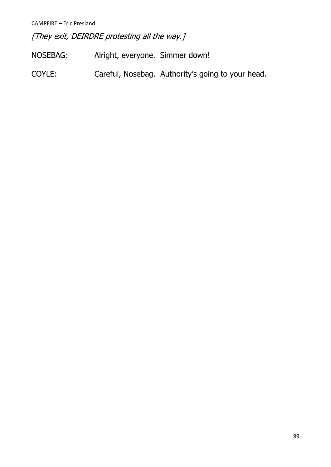[They exit, DEIRDRE protesting all the way.]

- NOSEBAG: Alright, everyone. Simmer down!
- COYLE: Careful, Nosebag. Authority's going to your head.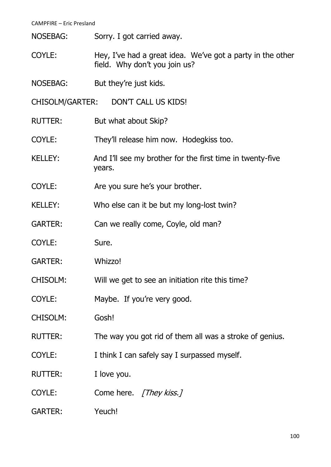NOSEBAG: Sorry. I got carried away.

- COYLE: Hey, I've had a great idea. We've got a party in the other field. Why don't you join us?
- NOSEBAG: But they're just kids.

CHISOLM/GARTER: DON'T CALL US KIDS!

- RUTTER: But what about Skip?
- COYLE: They'll release him now. Hodegkiss too.
- KELLEY: And I'll see my brother for the first time in twenty-five years.
- COYLE: Are you sure he's your brother.
- KELLEY: Who else can it be but my long-lost twin?
- GARTER: Can we really come, Coyle, old man?
- COYLE: Sure.
- GARTER: Whizzo!
- CHISOLM: Will we get to see an initiation rite this time?
- COYLE: Maybe. If you're very good.
- CHISOLM: Gosh!
- RUTTER: The way you got rid of them all was a stroke of genius.
- COYLE: I think I can safely say I surpassed myself.
- RUTTER: I love you.
- COYLE: Come here. [They kiss.]
- GARTER: Yeuch!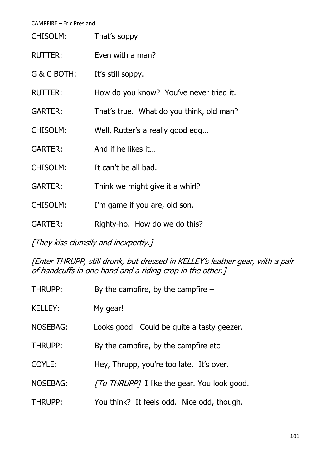| <b>CHISOLM:</b> | That's soppy.                            |
|-----------------|------------------------------------------|
| <b>RUTTER:</b>  | Even with a man?                         |
| G & C BOTH:     | It's still soppy.                        |
| <b>RUTTER:</b>  | How do you know? You've never tried it.  |
| <b>GARTER:</b>  | That's true. What do you think, old man? |
| <b>CHISOLM:</b> | Well, Rutter's a really good egg         |
| <b>GARTER:</b>  | And if he likes it                       |
| <b>CHISOLM:</b> | It can't be all bad.                     |
| <b>GARTER:</b>  | Think we might give it a whirl?          |
| <b>CHISOLM:</b> | I'm game if you are, old son.            |
| <b>GARTER:</b>  | Righty-ho. How do we do this?            |
|                 |                                          |

[They kiss clumsily and inexpertly.]

[Enter THRUPP, still drunk, but dressed in KELLEY's leather gear, with a pair of handcuffs in one hand and a riding crop in the other.]

| THRUPP:         | By the campfire, by the campfire $-$        |
|-----------------|---------------------------------------------|
| <b>KELLEY:</b>  | My gear!                                    |
| <b>NOSEBAG:</b> | Looks good. Could be quite a tasty geezer.  |
| <b>THRUPP:</b>  | By the campfire, by the campfire etc        |
| COYLE:          | Hey, Thrupp, you're too late. It's over.    |
| <b>NOSEBAG:</b> | [To THRUPP] I like the gear. You look good. |
| <b>THRUPP:</b>  | You think? It feels odd. Nice odd, though.  |